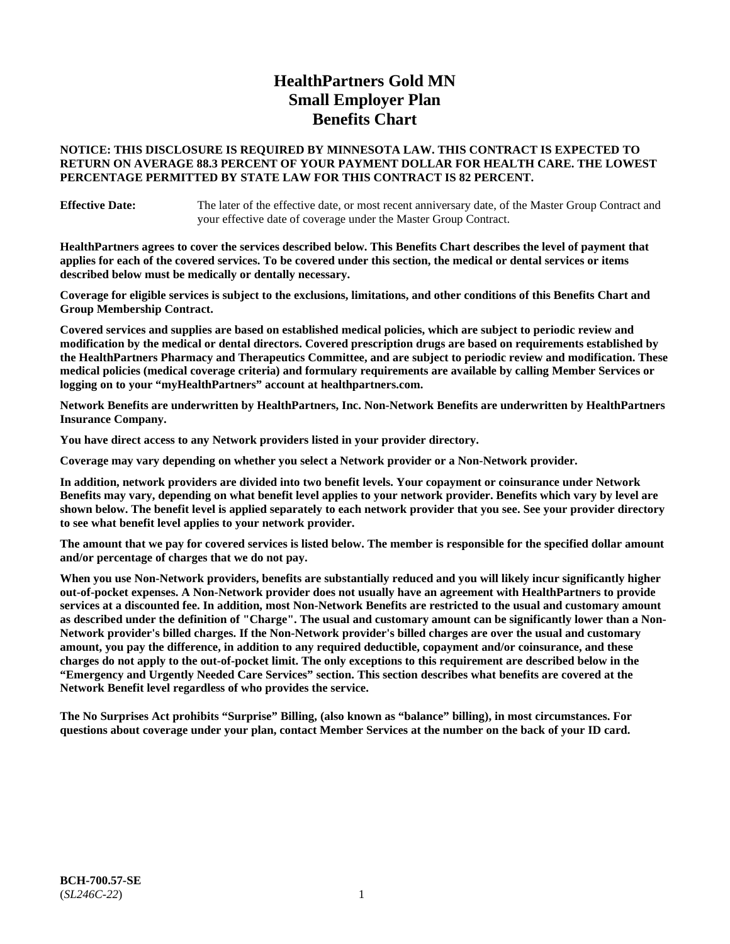# **HealthPartners Gold MN Small Employer Plan Benefits Chart**

# **NOTICE: THIS DISCLOSURE IS REQUIRED BY MINNESOTA LAW. THIS CONTRACT IS EXPECTED TO RETURN ON AVERAGE 88.3 PERCENT OF YOUR PAYMENT DOLLAR FOR HEALTH CARE. THE LOWEST PERCENTAGE PERMITTED BY STATE LAW FOR THIS CONTRACT IS 82 PERCENT.**

**Effective Date:** The later of the effective date, or most recent anniversary date, of the Master Group Contract and your effective date of coverage under the Master Group Contract.

**HealthPartners agrees to cover the services described below. This Benefits Chart describes the level of payment that applies for each of the covered services. To be covered under this section, the medical or dental services or items described below must be medically or dentally necessary.**

**Coverage for eligible services is subject to the exclusions, limitations, and other conditions of this Benefits Chart and Group Membership Contract.**

**Covered services and supplies are based on established medical policies, which are subject to periodic review and modification by the medical or dental directors. Covered prescription drugs are based on requirements established by the HealthPartners Pharmacy and Therapeutics Committee, and are subject to periodic review and modification. These medical policies (medical coverage criteria) and formulary requirements are available by calling Member Services or logging on to your "myHealthPartners" account at [healthpartners.com.](https://www.healthpartners.com/hp/index.html)**

**Network Benefits are underwritten by HealthPartners, Inc. Non-Network Benefits are underwritten by HealthPartners Insurance Company.** 

**You have direct access to any Network providers listed in your provider directory.**

**Coverage may vary depending on whether you select a Network provider or a Non-Network provider.**

**In addition, network providers are divided into two benefit levels. Your copayment or coinsurance under Network Benefits may vary, depending on what benefit level applies to your network provider. Benefits which vary by level are shown below. The benefit level is applied separately to each network provider that you see. See your provider directory to see what benefit level applies to your network provider.**

**The amount that we pay for covered services is listed below. The member is responsible for the specified dollar amount and/or percentage of charges that we do not pay.**

**When you use Non-Network providers, benefits are substantially reduced and you will likely incur significantly higher out-of-pocket expenses. A Non-Network provider does not usually have an agreement with HealthPartners to provide services at a discounted fee. In addition, most Non-Network Benefits are restricted to the usual and customary amount as described under the definition of "Charge". The usual and customary amount can be significantly lower than a Non-Network provider's billed charges. If the Non-Network provider's billed charges are over the usual and customary amount, you pay the difference, in addition to any required deductible, copayment and/or coinsurance, and these charges do not apply to the out-of-pocket limit. The only exceptions to this requirement are described below in the "Emergency and Urgently Needed Care Services" section. This section describes what benefits are covered at the Network Benefit level regardless of who provides the service.**

**The No Surprises Act prohibits "Surprise" Billing, (also known as "balance" billing), in most circumstances. For questions about coverage under your plan, contact Member Services at the number on the back of your ID card.**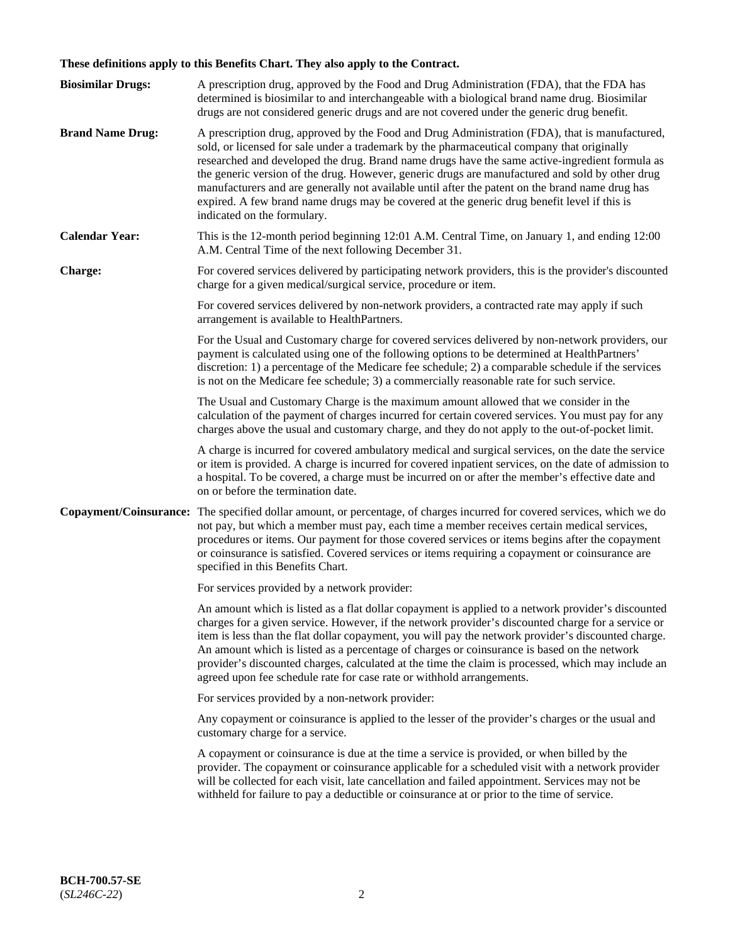# **These definitions apply to this Benefits Chart. They also apply to the Contract.**

| <b>Biosimilar Drugs:</b> | A prescription drug, approved by the Food and Drug Administration (FDA), that the FDA has<br>determined is biosimilar to and interchangeable with a biological brand name drug. Biosimilar<br>drugs are not considered generic drugs and are not covered under the generic drug benefit.                                                                                                                                                                                                                                                                                                                                           |
|--------------------------|------------------------------------------------------------------------------------------------------------------------------------------------------------------------------------------------------------------------------------------------------------------------------------------------------------------------------------------------------------------------------------------------------------------------------------------------------------------------------------------------------------------------------------------------------------------------------------------------------------------------------------|
| <b>Brand Name Drug:</b>  | A prescription drug, approved by the Food and Drug Administration (FDA), that is manufactured,<br>sold, or licensed for sale under a trademark by the pharmaceutical company that originally<br>researched and developed the drug. Brand name drugs have the same active-ingredient formula as<br>the generic version of the drug. However, generic drugs are manufactured and sold by other drug<br>manufacturers and are generally not available until after the patent on the brand name drug has<br>expired. A few brand name drugs may be covered at the generic drug benefit level if this is<br>indicated on the formulary. |
| <b>Calendar Year:</b>    | This is the 12-month period beginning 12:01 A.M. Central Time, on January 1, and ending 12:00<br>A.M. Central Time of the next following December 31.                                                                                                                                                                                                                                                                                                                                                                                                                                                                              |
| <b>Charge:</b>           | For covered services delivered by participating network providers, this is the provider's discounted<br>charge for a given medical/surgical service, procedure or item.                                                                                                                                                                                                                                                                                                                                                                                                                                                            |
|                          | For covered services delivered by non-network providers, a contracted rate may apply if such<br>arrangement is available to HealthPartners.                                                                                                                                                                                                                                                                                                                                                                                                                                                                                        |
|                          | For the Usual and Customary charge for covered services delivered by non-network providers, our<br>payment is calculated using one of the following options to be determined at HealthPartners'<br>discretion: 1) a percentage of the Medicare fee schedule; 2) a comparable schedule if the services<br>is not on the Medicare fee schedule; 3) a commercially reasonable rate for such service.                                                                                                                                                                                                                                  |
|                          | The Usual and Customary Charge is the maximum amount allowed that we consider in the<br>calculation of the payment of charges incurred for certain covered services. You must pay for any<br>charges above the usual and customary charge, and they do not apply to the out-of-pocket limit.                                                                                                                                                                                                                                                                                                                                       |
|                          | A charge is incurred for covered ambulatory medical and surgical services, on the date the service<br>or item is provided. A charge is incurred for covered inpatient services, on the date of admission to<br>a hospital. To be covered, a charge must be incurred on or after the member's effective date and<br>on or before the termination date.                                                                                                                                                                                                                                                                              |
| Copayment/Coinsurance:   | The specified dollar amount, or percentage, of charges incurred for covered services, which we do<br>not pay, but which a member must pay, each time a member receives certain medical services,<br>procedures or items. Our payment for those covered services or items begins after the copayment<br>or coinsurance is satisfied. Covered services or items requiring a copayment or coinsurance are<br>specified in this Benefits Chart.                                                                                                                                                                                        |
|                          | For services provided by a network provider:                                                                                                                                                                                                                                                                                                                                                                                                                                                                                                                                                                                       |
|                          | An amount which is listed as a flat dollar copayment is applied to a network provider's discounted<br>charges for a given service. However, if the network provider's discounted charge for a service or<br>item is less than the flat dollar copayment, you will pay the network provider's discounted charge.<br>An amount which is listed as a percentage of charges or coinsurance is based on the network<br>provider's discounted charges, calculated at the time the claim is processed, which may include an<br>agreed upon fee schedule rate for case rate or withhold arrangements.                                      |
|                          | For services provided by a non-network provider:                                                                                                                                                                                                                                                                                                                                                                                                                                                                                                                                                                                   |
|                          | Any copayment or coinsurance is applied to the lesser of the provider's charges or the usual and<br>customary charge for a service.                                                                                                                                                                                                                                                                                                                                                                                                                                                                                                |
|                          | A copayment or coinsurance is due at the time a service is provided, or when billed by the<br>provider. The copayment or coinsurance applicable for a scheduled visit with a network provider<br>will be collected for each visit, late cancellation and failed appointment. Services may not be<br>withheld for failure to pay a deductible or coinsurance at or prior to the time of service.                                                                                                                                                                                                                                    |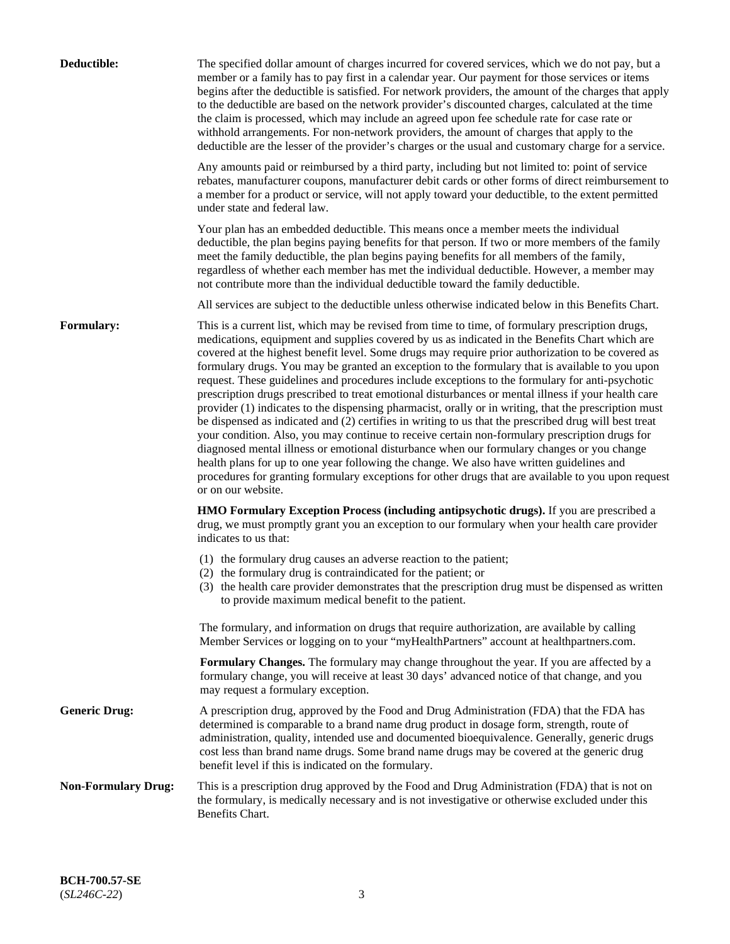| Deductible:                | The specified dollar amount of charges incurred for covered services, which we do not pay, but a<br>member or a family has to pay first in a calendar year. Our payment for those services or items<br>begins after the deductible is satisfied. For network providers, the amount of the charges that apply<br>to the deductible are based on the network provider's discounted charges, calculated at the time<br>the claim is processed, which may include an agreed upon fee schedule rate for case rate or<br>withhold arrangements. For non-network providers, the amount of charges that apply to the<br>deductible are the lesser of the provider's charges or the usual and customary charge for a service.                                                                                                                                                                                                                                                                                                                                                                                                                                                                                                                                             |
|----------------------------|------------------------------------------------------------------------------------------------------------------------------------------------------------------------------------------------------------------------------------------------------------------------------------------------------------------------------------------------------------------------------------------------------------------------------------------------------------------------------------------------------------------------------------------------------------------------------------------------------------------------------------------------------------------------------------------------------------------------------------------------------------------------------------------------------------------------------------------------------------------------------------------------------------------------------------------------------------------------------------------------------------------------------------------------------------------------------------------------------------------------------------------------------------------------------------------------------------------------------------------------------------------|
|                            | Any amounts paid or reimbursed by a third party, including but not limited to: point of service<br>rebates, manufacturer coupons, manufacturer debit cards or other forms of direct reimbursement to<br>a member for a product or service, will not apply toward your deductible, to the extent permitted<br>under state and federal law.                                                                                                                                                                                                                                                                                                                                                                                                                                                                                                                                                                                                                                                                                                                                                                                                                                                                                                                        |
|                            | Your plan has an embedded deductible. This means once a member meets the individual<br>deductible, the plan begins paying benefits for that person. If two or more members of the family<br>meet the family deductible, the plan begins paying benefits for all members of the family,<br>regardless of whether each member has met the individual deductible. However, a member may<br>not contribute more than the individual deductible toward the family deductible.                                                                                                                                                                                                                                                                                                                                                                                                                                                                                                                                                                                                                                                                                                                                                                                         |
|                            | All services are subject to the deductible unless otherwise indicated below in this Benefits Chart.                                                                                                                                                                                                                                                                                                                                                                                                                                                                                                                                                                                                                                                                                                                                                                                                                                                                                                                                                                                                                                                                                                                                                              |
| Formulary:                 | This is a current list, which may be revised from time to time, of formulary prescription drugs,<br>medications, equipment and supplies covered by us as indicated in the Benefits Chart which are<br>covered at the highest benefit level. Some drugs may require prior authorization to be covered as<br>formulary drugs. You may be granted an exception to the formulary that is available to you upon<br>request. These guidelines and procedures include exceptions to the formulary for anti-psychotic<br>prescription drugs prescribed to treat emotional disturbances or mental illness if your health care<br>provider (1) indicates to the dispensing pharmacist, orally or in writing, that the prescription must<br>be dispensed as indicated and (2) certifies in writing to us that the prescribed drug will best treat<br>your condition. Also, you may continue to receive certain non-formulary prescription drugs for<br>diagnosed mental illness or emotional disturbance when our formulary changes or you change<br>health plans for up to one year following the change. We also have written guidelines and<br>procedures for granting formulary exceptions for other drugs that are available to you upon request<br>or on our website. |
|                            | <b>HMO Formulary Exception Process (including antipsychotic drugs).</b> If you are prescribed a<br>drug, we must promptly grant you an exception to our formulary when your health care provider<br>indicates to us that:                                                                                                                                                                                                                                                                                                                                                                                                                                                                                                                                                                                                                                                                                                                                                                                                                                                                                                                                                                                                                                        |
|                            | (1) the formulary drug causes an adverse reaction to the patient;<br>(2) the formulary drug is contraindicated for the patient; or<br>(3) the health care provider demonstrates that the prescription drug must be dispensed as written<br>to provide maximum medical benefit to the patient.                                                                                                                                                                                                                                                                                                                                                                                                                                                                                                                                                                                                                                                                                                                                                                                                                                                                                                                                                                    |
|                            | The formulary, and information on drugs that require authorization, are available by calling<br>Member Services or logging on to your "myHealthPartners" account at healthpartners.com.                                                                                                                                                                                                                                                                                                                                                                                                                                                                                                                                                                                                                                                                                                                                                                                                                                                                                                                                                                                                                                                                          |
|                            | Formulary Changes. The formulary may change throughout the year. If you are affected by a<br>formulary change, you will receive at least 30 days' advanced notice of that change, and you<br>may request a formulary exception.                                                                                                                                                                                                                                                                                                                                                                                                                                                                                                                                                                                                                                                                                                                                                                                                                                                                                                                                                                                                                                  |
| <b>Generic Drug:</b>       | A prescription drug, approved by the Food and Drug Administration (FDA) that the FDA has<br>determined is comparable to a brand name drug product in dosage form, strength, route of<br>administration, quality, intended use and documented bioequivalence. Generally, generic drugs<br>cost less than brand name drugs. Some brand name drugs may be covered at the generic drug<br>benefit level if this is indicated on the formulary.                                                                                                                                                                                                                                                                                                                                                                                                                                                                                                                                                                                                                                                                                                                                                                                                                       |
| <b>Non-Formulary Drug:</b> | This is a prescription drug approved by the Food and Drug Administration (FDA) that is not on<br>the formulary, is medically necessary and is not investigative or otherwise excluded under this<br>Benefits Chart.                                                                                                                                                                                                                                                                                                                                                                                                                                                                                                                                                                                                                                                                                                                                                                                                                                                                                                                                                                                                                                              |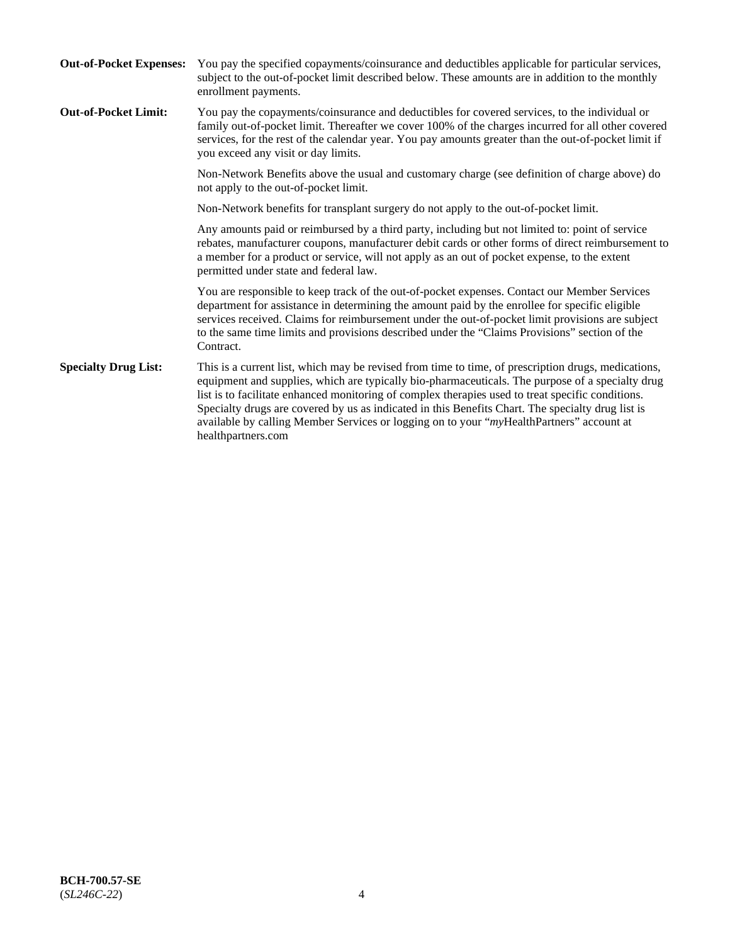| <b>Out-of-Pocket Expenses:</b> | You pay the specified copayments/coinsurance and deductibles applicable for particular services,<br>subject to the out-of-pocket limit described below. These amounts are in addition to the monthly<br>enrollment payments.                                                                                                                                                                                                                                                                                                        |
|--------------------------------|-------------------------------------------------------------------------------------------------------------------------------------------------------------------------------------------------------------------------------------------------------------------------------------------------------------------------------------------------------------------------------------------------------------------------------------------------------------------------------------------------------------------------------------|
| <b>Out-of-Pocket Limit:</b>    | You pay the copayments/coinsurance and deductibles for covered services, to the individual or<br>family out-of-pocket limit. Thereafter we cover 100% of the charges incurred for all other covered<br>services, for the rest of the calendar year. You pay amounts greater than the out-of-pocket limit if<br>you exceed any visit or day limits.                                                                                                                                                                                  |
|                                | Non-Network Benefits above the usual and customary charge (see definition of charge above) do<br>not apply to the out-of-pocket limit.                                                                                                                                                                                                                                                                                                                                                                                              |
|                                | Non-Network benefits for transplant surgery do not apply to the out-of-pocket limit.                                                                                                                                                                                                                                                                                                                                                                                                                                                |
|                                | Any amounts paid or reimbursed by a third party, including but not limited to: point of service<br>rebates, manufacturer coupons, manufacturer debit cards or other forms of direct reimbursement to<br>a member for a product or service, will not apply as an out of pocket expense, to the extent<br>permitted under state and federal law.                                                                                                                                                                                      |
|                                | You are responsible to keep track of the out-of-pocket expenses. Contact our Member Services<br>department for assistance in determining the amount paid by the enrollee for specific eligible<br>services received. Claims for reimbursement under the out-of-pocket limit provisions are subject<br>to the same time limits and provisions described under the "Claims Provisions" section of the<br>Contract.                                                                                                                    |
| <b>Specialty Drug List:</b>    | This is a current list, which may be revised from time to time, of prescription drugs, medications,<br>equipment and supplies, which are typically bio-pharmaceuticals. The purpose of a specialty drug<br>list is to facilitate enhanced monitoring of complex therapies used to treat specific conditions.<br>Specialty drugs are covered by us as indicated in this Benefits Chart. The specialty drug list is<br>available by calling Member Services or logging on to your "myHealthPartners" account at<br>healthpartners.com |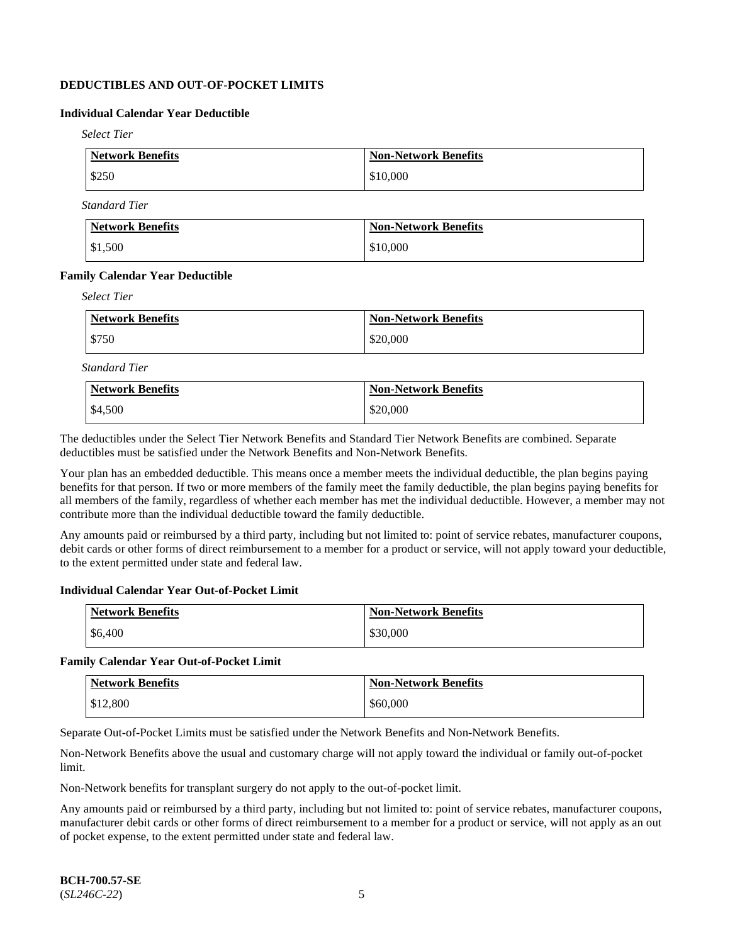# **DEDUCTIBLES AND OUT-OF-POCKET LIMITS**

# **Individual Calendar Year Deductible**

*Select Tier*

| Network Benefits | <b>Non-Network Benefits</b> |
|------------------|-----------------------------|
| \$250            | \$10,000                    |

*Standard Tier*

| Network Benefits | <b>Non-Network Benefits</b> |
|------------------|-----------------------------|
| \$1,500          | \$10,000                    |

#### **Family Calendar Year Deductible**

*Select Tier*

| <b>Network Benefits</b> | <b>Non-Network Benefits</b> |
|-------------------------|-----------------------------|
| $\frac{1}{2}$ \$750     | \$20,000                    |

*Standard Tier*

| <b>Network Benefits</b> | <b>Non-Network Benefits</b> |
|-------------------------|-----------------------------|
| \$4,500                 | \$20,000                    |

The deductibles under the Select Tier Network Benefits and Standard Tier Network Benefits are combined. Separate deductibles must be satisfied under the Network Benefits and Non-Network Benefits.

Your plan has an embedded deductible. This means once a member meets the individual deductible, the plan begins paying benefits for that person. If two or more members of the family meet the family deductible, the plan begins paying benefits for all members of the family, regardless of whether each member has met the individual deductible. However, a member may not contribute more than the individual deductible toward the family deductible.

Any amounts paid or reimbursed by a third party, including but not limited to: point of service rebates, manufacturer coupons, debit cards or other forms of direct reimbursement to a member for a product or service, will not apply toward your deductible, to the extent permitted under state and federal law.

#### **Individual Calendar Year Out-of-Pocket Limit**

| <b>Network Benefits</b> | <b>Non-Network Benefits</b> |
|-------------------------|-----------------------------|
| \$6,400                 | \$30,000                    |

#### **Family Calendar Year Out-of-Pocket Limit**

| <b>Network Benefits</b> | <b>Non-Network Benefits</b> |
|-------------------------|-----------------------------|
| \$12,800                | \$60,000                    |

Separate Out-of-Pocket Limits must be satisfied under the Network Benefits and Non-Network Benefits.

Non-Network Benefits above the usual and customary charge will not apply toward the individual or family out-of-pocket limit.

Non-Network benefits for transplant surgery do not apply to the out-of-pocket limit.

Any amounts paid or reimbursed by a third party, including but not limited to: point of service rebates, manufacturer coupons, manufacturer debit cards or other forms of direct reimbursement to a member for a product or service, will not apply as an out of pocket expense, to the extent permitted under state and federal law.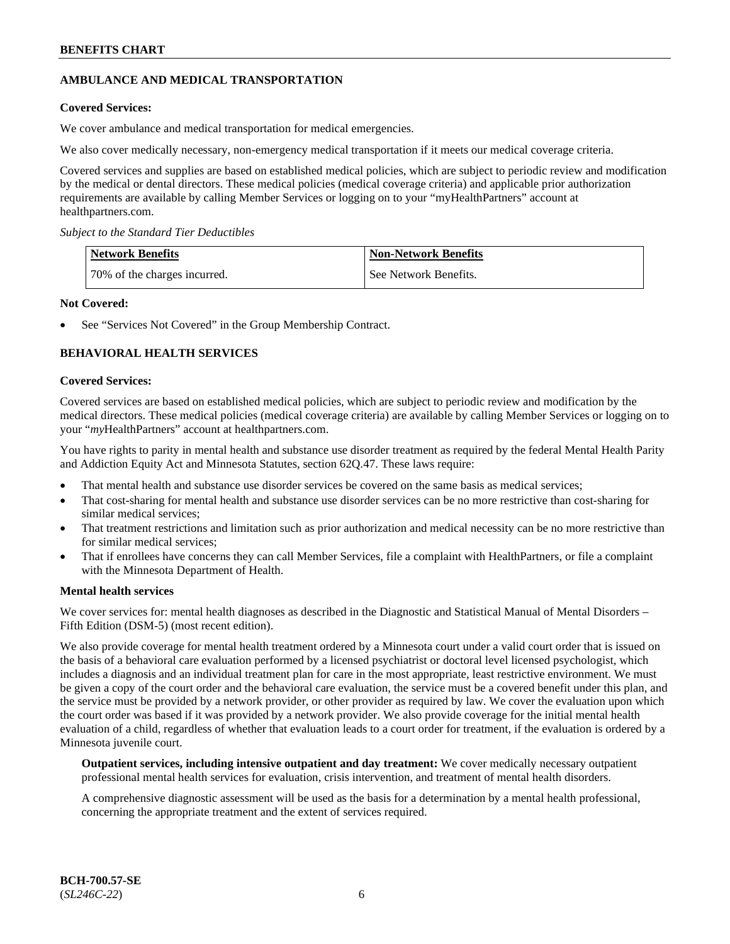# **AMBULANCE AND MEDICAL TRANSPORTATION**

### **Covered Services:**

We cover ambulance and medical transportation for medical emergencies.

We also cover medically necessary, non-emergency medical transportation if it meets our medical coverage criteria.

Covered services and supplies are based on established medical policies, which are subject to periodic review and modification by the medical or dental directors. These medical policies (medical coverage criteria) and applicable prior authorization requirements are available by calling Member Services or logging on to your "myHealthPartners" account at [healthpartners.com.](https://www.healthpartners.com/hp/index.html)

*Subject to the Standard Tier Deductibles*

| <b>Network Benefits</b>      | <b>Non-Network Benefits</b> |
|------------------------------|-----------------------------|
| 70% of the charges incurred. | See Network Benefits.       |

### **Not Covered:**

See "Services Not Covered" in the Group Membership Contract.

# **BEHAVIORAL HEALTH SERVICES**

#### **Covered Services:**

Covered services are based on established medical policies, which are subject to periodic review and modification by the medical directors. These medical policies (medical coverage criteria) are available by calling Member Services or logging on to your "*my*HealthPartners" account at [healthpartners.com.](http://www.healthpartners.com/)

You have rights to parity in mental health and substance use disorder treatment as required by the federal Mental Health Parity and Addiction Equity Act and Minnesota Statutes, section 62Q.47. These laws require:

- That mental health and substance use disorder services be covered on the same basis as medical services;
- That cost-sharing for mental health and substance use disorder services can be no more restrictive than cost-sharing for similar medical services;
- That treatment restrictions and limitation such as prior authorization and medical necessity can be no more restrictive than for similar medical services;
- That if enrollees have concerns they can call Member Services, file a complaint with HealthPartners, or file a complaint with the Minnesota Department of Health.

#### **Mental health services**

We cover services for: mental health diagnoses as described in the Diagnostic and Statistical Manual of Mental Disorders – Fifth Edition (DSM-5) (most recent edition).

We also provide coverage for mental health treatment ordered by a Minnesota court under a valid court order that is issued on the basis of a behavioral care evaluation performed by a licensed psychiatrist or doctoral level licensed psychologist, which includes a diagnosis and an individual treatment plan for care in the most appropriate, least restrictive environment. We must be given a copy of the court order and the behavioral care evaluation, the service must be a covered benefit under this plan, and the service must be provided by a network provider, or other provider as required by law. We cover the evaluation upon which the court order was based if it was provided by a network provider. We also provide coverage for the initial mental health evaluation of a child, regardless of whether that evaluation leads to a court order for treatment, if the evaluation is ordered by a Minnesota juvenile court.

**Outpatient services, including intensive outpatient and day treatment:** We cover medically necessary outpatient professional mental health services for evaluation, crisis intervention, and treatment of mental health disorders.

A comprehensive diagnostic assessment will be used as the basis for a determination by a mental health professional, concerning the appropriate treatment and the extent of services required.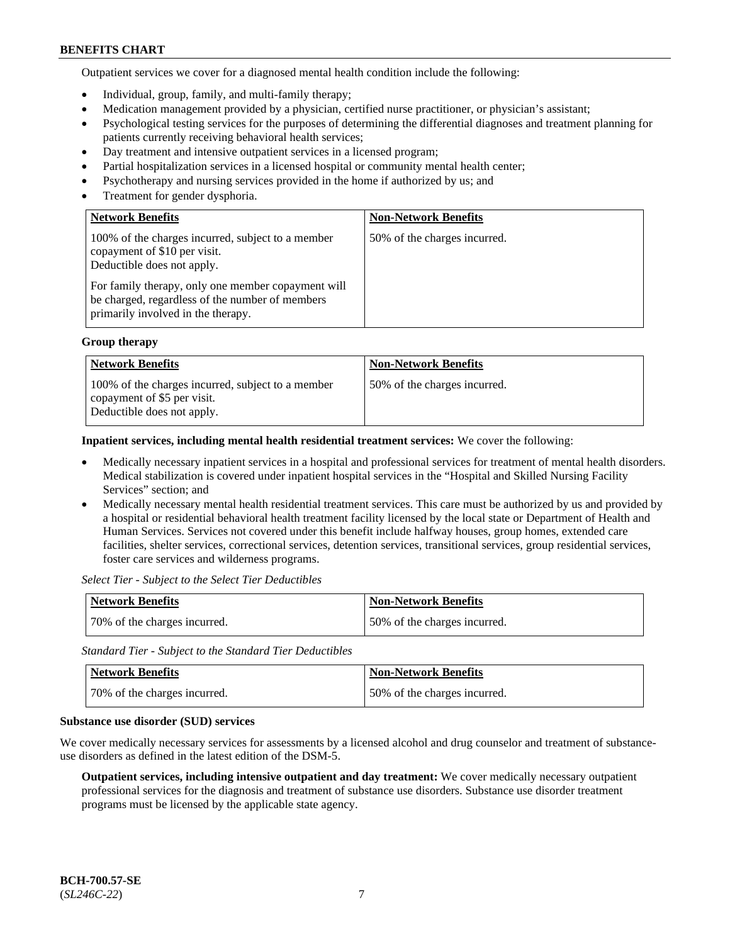Outpatient services we cover for a diagnosed mental health condition include the following:

- Individual, group, family, and multi-family therapy;
- Medication management provided by a physician, certified nurse practitioner, or physician's assistant;
- Psychological testing services for the purposes of determining the differential diagnoses and treatment planning for patients currently receiving behavioral health services;
- Day treatment and intensive outpatient services in a licensed program;
- Partial hospitalization services in a licensed hospital or community mental health center;
- Psychotherapy and nursing services provided in the home if authorized by us; and
- Treatment for gender dysphoria.

| <b>Network Benefits</b>                                                                                                                                                                                                  | <b>Non-Network Benefits</b>  |
|--------------------------------------------------------------------------------------------------------------------------------------------------------------------------------------------------------------------------|------------------------------|
| 100% of the charges incurred, subject to a member<br>copayment of \$10 per visit.<br>Deductible does not apply.<br>For family therapy, only one member copayment will<br>be charged, regardless of the number of members | 50% of the charges incurred. |
| primarily involved in the therapy.                                                                                                                                                                                       |                              |

#### **Group therapy**

| <b>Network Benefits</b>                                                                                        | <b>Non-Network Benefits</b>  |
|----------------------------------------------------------------------------------------------------------------|------------------------------|
| 100% of the charges incurred, subject to a member<br>copayment of \$5 per visit.<br>Deductible does not apply. | 50% of the charges incurred. |

**Inpatient services, including mental health residential treatment services:** We cover the following:

- Medically necessary inpatient services in a hospital and professional services for treatment of mental health disorders. Medical stabilization is covered under inpatient hospital services in the "Hospital and Skilled Nursing Facility Services" section; and
- Medically necessary mental health residential treatment services. This care must be authorized by us and provided by a hospital or residential behavioral health treatment facility licensed by the local state or Department of Health and Human Services. Services not covered under this benefit include halfway houses, group homes, extended care facilities, shelter services, correctional services, detention services, transitional services, group residential services, foster care services and wilderness programs.

*Select Tier - Subject to the Select Tier Deductibles*

| Network Benefits             | <b>Non-Network Benefits</b>  |
|------------------------------|------------------------------|
| 70% of the charges incurred. | 50% of the charges incurred. |

*Standard Tier - Subject to the Standard Tier Deductibles*

| <b>Network Benefits</b>      | <b>Non-Network Benefits</b>  |
|------------------------------|------------------------------|
| 70% of the charges incurred. | 50% of the charges incurred. |

#### **Substance use disorder (SUD) services**

We cover medically necessary services for assessments by a licensed alcohol and drug counselor and treatment of substanceuse disorders as defined in the latest edition of the DSM-5.

**Outpatient services, including intensive outpatient and day treatment:** We cover medically necessary outpatient professional services for the diagnosis and treatment of substance use disorders. Substance use disorder treatment programs must be licensed by the applicable state agency.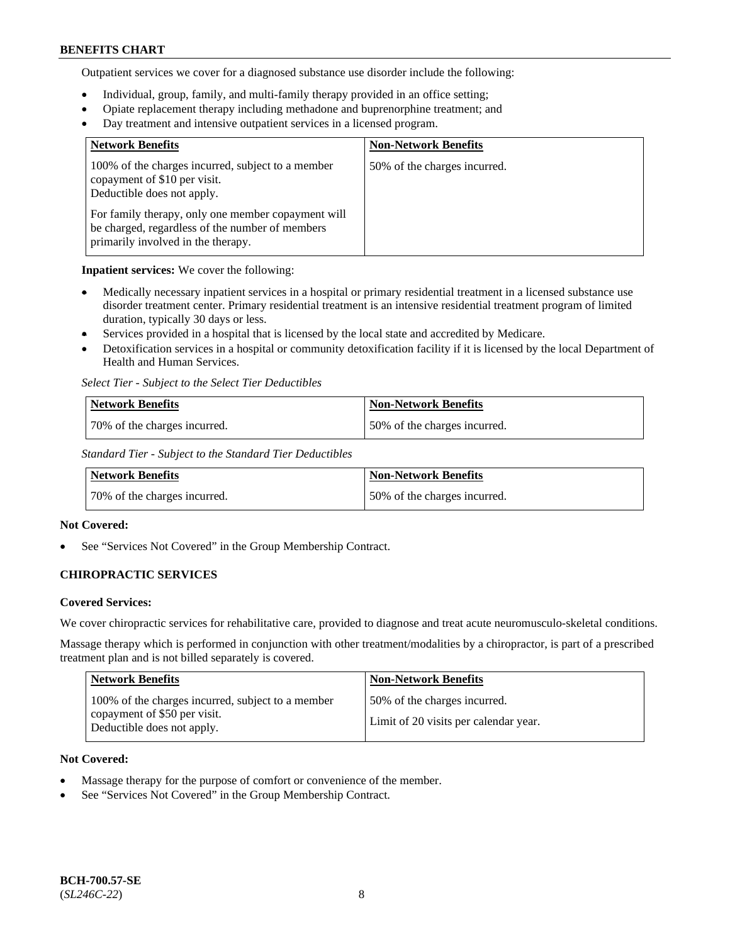Outpatient services we cover for a diagnosed substance use disorder include the following:

- Individual, group, family, and multi-family therapy provided in an office setting;
- Opiate replacement therapy including methadone and buprenorphine treatment; and
- Day treatment and intensive outpatient services in a licensed program.

| <b>Network Benefits</b>                                                                                                                     | <b>Non-Network Benefits</b>  |
|---------------------------------------------------------------------------------------------------------------------------------------------|------------------------------|
| 100% of the charges incurred, subject to a member<br>copayment of \$10 per visit.<br>Deductible does not apply.                             | 50% of the charges incurred. |
| For family therapy, only one member copayment will<br>be charged, regardless of the number of members<br>primarily involved in the therapy. |                              |

**Inpatient services:** We cover the following:

- Medically necessary inpatient services in a hospital or primary residential treatment in a licensed substance use disorder treatment center. Primary residential treatment is an intensive residential treatment program of limited duration, typically 30 days or less.
- Services provided in a hospital that is licensed by the local state and accredited by Medicare.
- Detoxification services in a hospital or community detoxification facility if it is licensed by the local Department of Health and Human Services.

*Select Tier - Subject to the Select Tier Deductibles*

| Network Benefits             | <b>Non-Network Benefits</b>  |
|------------------------------|------------------------------|
| 70% of the charges incurred. | 50% of the charges incurred. |

*Standard Tier - Subject to the Standard Tier Deductibles*

| <b>Network Benefits</b>      | Non-Network Benefits         |
|------------------------------|------------------------------|
| 70% of the charges incurred. | 50% of the charges incurred. |

## **Not Covered:**

See "Services Not Covered" in the Group Membership Contract.

# **CHIROPRACTIC SERVICES**

## **Covered Services:**

We cover chiropractic services for rehabilitative care, provided to diagnose and treat acute neuromusculo-skeletal conditions.

Massage therapy which is performed in conjunction with other treatment/modalities by a chiropractor, is part of a prescribed treatment plan and is not billed separately is covered.

| Network Benefits                                                                                                | <b>Non-Network Benefits</b>                                           |
|-----------------------------------------------------------------------------------------------------------------|-----------------------------------------------------------------------|
| 100% of the charges incurred, subject to a member<br>copayment of \$50 per visit.<br>Deductible does not apply. | 50% of the charges incurred.<br>Limit of 20 visits per calendar year. |

## **Not Covered:**

- Massage therapy for the purpose of comfort or convenience of the member.
- See "Services Not Covered" in the Group Membership Contract.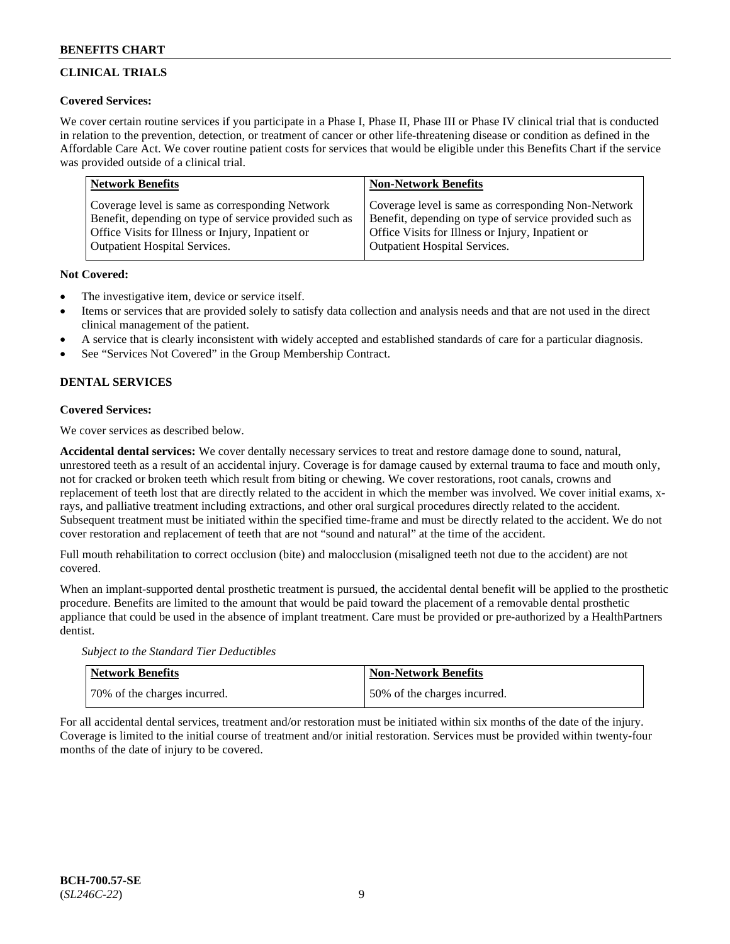# **CLINICAL TRIALS**

# **Covered Services:**

We cover certain routine services if you participate in a Phase I, Phase II, Phase III or Phase IV clinical trial that is conducted in relation to the prevention, detection, or treatment of cancer or other life-threatening disease or condition as defined in the Affordable Care Act. We cover routine patient costs for services that would be eligible under this Benefits Chart if the service was provided outside of a clinical trial.

| <b>Network Benefits</b>                                | <b>Non-Network Benefits</b>                            |
|--------------------------------------------------------|--------------------------------------------------------|
| Coverage level is same as corresponding Network        | Coverage level is same as corresponding Non-Network    |
| Benefit, depending on type of service provided such as | Benefit, depending on type of service provided such as |
| Office Visits for Illness or Injury, Inpatient or      | Office Visits for Illness or Injury, Inpatient or      |
| <b>Outpatient Hospital Services.</b>                   | <b>Outpatient Hospital Services.</b>                   |

## **Not Covered:**

- The investigative item, device or service itself.
- Items or services that are provided solely to satisfy data collection and analysis needs and that are not used in the direct clinical management of the patient.
- A service that is clearly inconsistent with widely accepted and established standards of care for a particular diagnosis.
- See "Services Not Covered" in the Group Membership Contract.

# **DENTAL SERVICES**

# **Covered Services:**

We cover services as described below.

**Accidental dental services:** We cover dentally necessary services to treat and restore damage done to sound, natural, unrestored teeth as a result of an accidental injury. Coverage is for damage caused by external trauma to face and mouth only, not for cracked or broken teeth which result from biting or chewing. We cover restorations, root canals, crowns and replacement of teeth lost that are directly related to the accident in which the member was involved. We cover initial exams, xrays, and palliative treatment including extractions, and other oral surgical procedures directly related to the accident. Subsequent treatment must be initiated within the specified time-frame and must be directly related to the accident. We do not cover restoration and replacement of teeth that are not "sound and natural" at the time of the accident.

Full mouth rehabilitation to correct occlusion (bite) and malocclusion (misaligned teeth not due to the accident) are not covered.

When an implant-supported dental prosthetic treatment is pursued, the accidental dental benefit will be applied to the prosthetic procedure. Benefits are limited to the amount that would be paid toward the placement of a removable dental prosthetic appliance that could be used in the absence of implant treatment. Care must be provided or pre-authorized by a HealthPartners dentist.

*Subject to the Standard Tier Deductibles*

| <b>Network Benefits</b>      | Non-Network Benefits         |
|------------------------------|------------------------------|
| 70% of the charges incurred. | 50% of the charges incurred. |

For all accidental dental services, treatment and/or restoration must be initiated within six months of the date of the injury. Coverage is limited to the initial course of treatment and/or initial restoration. Services must be provided within twenty-four months of the date of injury to be covered.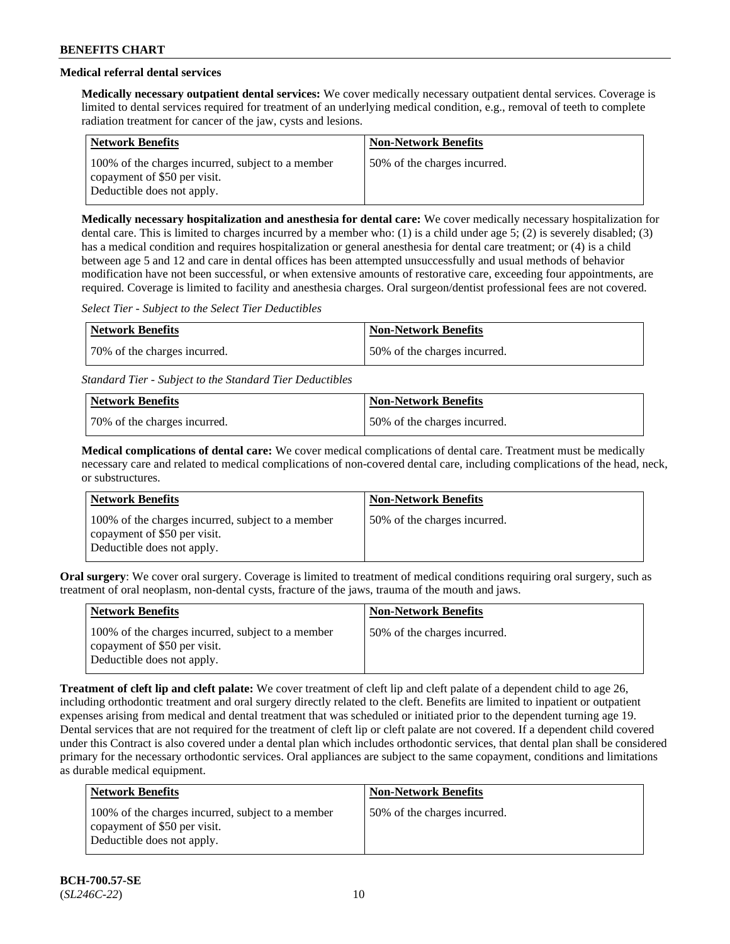# **Medical referral dental services**

**Medically necessary outpatient dental services:** We cover medically necessary outpatient dental services. Coverage is limited to dental services required for treatment of an underlying medical condition, e.g., removal of teeth to complete radiation treatment for cancer of the jaw, cysts and lesions.

| <b>Network Benefits</b>                                                                                         | <b>Non-Network Benefits</b>  |
|-----------------------------------------------------------------------------------------------------------------|------------------------------|
| 100% of the charges incurred, subject to a member<br>copayment of \$50 per visit.<br>Deductible does not apply. | 50% of the charges incurred. |

**Medically necessary hospitalization and anesthesia for dental care:** We cover medically necessary hospitalization for dental care. This is limited to charges incurred by a member who: (1) is a child under age 5; (2) is severely disabled; (3) has a medical condition and requires hospitalization or general anesthesia for dental care treatment; or (4) is a child between age 5 and 12 and care in dental offices has been attempted unsuccessfully and usual methods of behavior modification have not been successful, or when extensive amounts of restorative care, exceeding four appointments, are required. Coverage is limited to facility and anesthesia charges. Oral surgeon/dentist professional fees are not covered.

*Select Tier - Subject to the Select Tier Deductibles*

| Network Benefits             | Non-Network Benefits         |
|------------------------------|------------------------------|
| 70% of the charges incurred. | 50% of the charges incurred. |

*Standard Tier - Subject to the Standard Tier Deductibles*

| Network Benefits             | <b>Non-Network Benefits</b>  |
|------------------------------|------------------------------|
| 70% of the charges incurred. | 50% of the charges incurred. |

**Medical complications of dental care:** We cover medical complications of dental care. Treatment must be medically necessary care and related to medical complications of non-covered dental care, including complications of the head, neck, or substructures.

| <b>Network Benefits</b>                                                                                         | <b>Non-Network Benefits</b>  |
|-----------------------------------------------------------------------------------------------------------------|------------------------------|
| 100% of the charges incurred, subject to a member<br>copayment of \$50 per visit.<br>Deductible does not apply. | 50% of the charges incurred. |

**Oral surgery**: We cover oral surgery. Coverage is limited to treatment of medical conditions requiring oral surgery, such as treatment of oral neoplasm, non-dental cysts, fracture of the jaws, trauma of the mouth and jaws.

| <b>Network Benefits</b>                                                                                         | <b>Non-Network Benefits</b>  |
|-----------------------------------------------------------------------------------------------------------------|------------------------------|
| 100% of the charges incurred, subject to a member<br>copayment of \$50 per visit.<br>Deductible does not apply. | 50% of the charges incurred. |

**Treatment of cleft lip and cleft palate:** We cover treatment of cleft lip and cleft palate of a dependent child to age 26, including orthodontic treatment and oral surgery directly related to the cleft. Benefits are limited to inpatient or outpatient expenses arising from medical and dental treatment that was scheduled or initiated prior to the dependent turning age 19. Dental services that are not required for the treatment of cleft lip or cleft palate are not covered. If a dependent child covered under this Contract is also covered under a dental plan which includes orthodontic services, that dental plan shall be considered primary for the necessary orthodontic services. Oral appliances are subject to the same copayment, conditions and limitations as durable medical equipment.

| Network Benefits                                                                                                | <b>Non-Network Benefits</b>  |
|-----------------------------------------------------------------------------------------------------------------|------------------------------|
| 100% of the charges incurred, subject to a member<br>copayment of \$50 per visit.<br>Deductible does not apply. | 50% of the charges incurred. |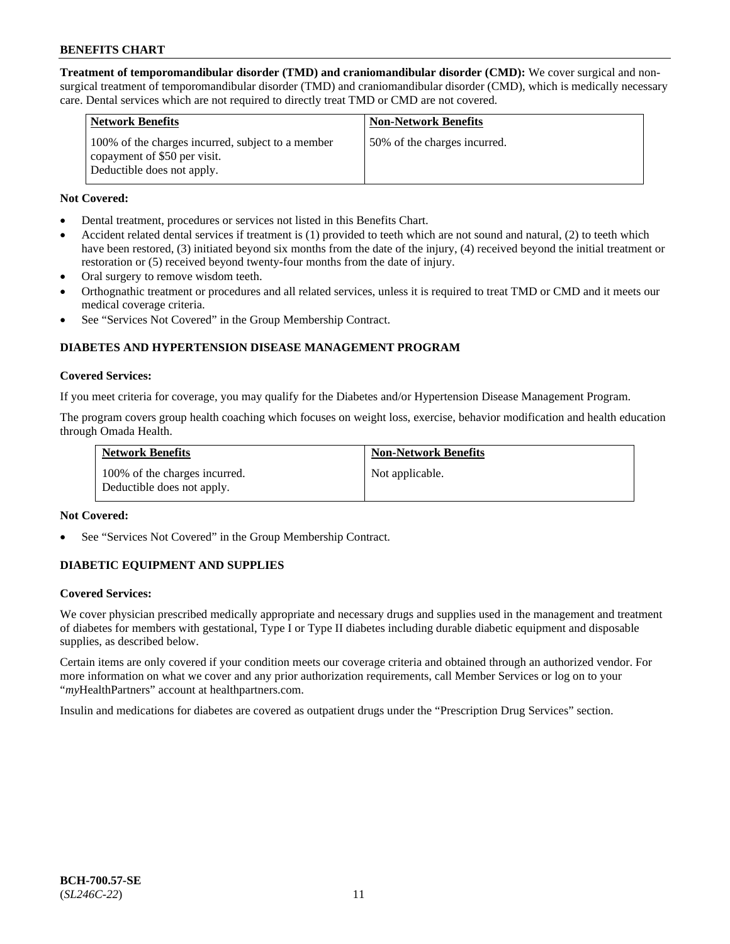**Treatment of temporomandibular disorder (TMD) and craniomandibular disorder (CMD):** We cover surgical and nonsurgical treatment of temporomandibular disorder (TMD) and craniomandibular disorder (CMD), which is medically necessary care. Dental services which are not required to directly treat TMD or CMD are not covered.

| <b>Network Benefits</b>                                                                                         | <b>Non-Network Benefits</b>  |
|-----------------------------------------------------------------------------------------------------------------|------------------------------|
| 100% of the charges incurred, subject to a member<br>copayment of \$50 per visit.<br>Deductible does not apply. | 50% of the charges incurred. |

## **Not Covered:**

- Dental treatment, procedures or services not listed in this Benefits Chart.
- Accident related dental services if treatment is (1) provided to teeth which are not sound and natural, (2) to teeth which have been restored, (3) initiated beyond six months from the date of the injury, (4) received beyond the initial treatment or restoration or (5) received beyond twenty-four months from the date of injury.
- Oral surgery to remove wisdom teeth.
- Orthognathic treatment or procedures and all related services, unless it is required to treat TMD or CMD and it meets our medical coverage criteria.
- See "Services Not Covered" in the Group Membership Contract.

# **DIABETES AND HYPERTENSION DISEASE MANAGEMENT PROGRAM**

#### **Covered Services:**

If you meet criteria for coverage, you may qualify for the Diabetes and/or Hypertension Disease Management Program.

The program covers group health coaching which focuses on weight loss, exercise, behavior modification and health education through Omada Health.

| <b>Network Benefits</b>                                     | <b>Non-Network Benefits</b> |
|-------------------------------------------------------------|-----------------------------|
| 100% of the charges incurred.<br>Deductible does not apply. | Not applicable.             |

## **Not Covered:**

See "Services Not Covered" in the Group Membership Contract.

## **DIABETIC EQUIPMENT AND SUPPLIES**

## **Covered Services:**

We cover physician prescribed medically appropriate and necessary drugs and supplies used in the management and treatment of diabetes for members with gestational, Type I or Type II diabetes including durable diabetic equipment and disposable supplies, as described below.

Certain items are only covered if your condition meets our coverage criteria and obtained through an authorized vendor. For more information on what we cover and any prior authorization requirements, call Member Services or log on to your "*my*HealthPartners" account at [healthpartners.com.](http://www.healthpartners.com/)

Insulin and medications for diabetes are covered as outpatient drugs under the "Prescription Drug Services" section.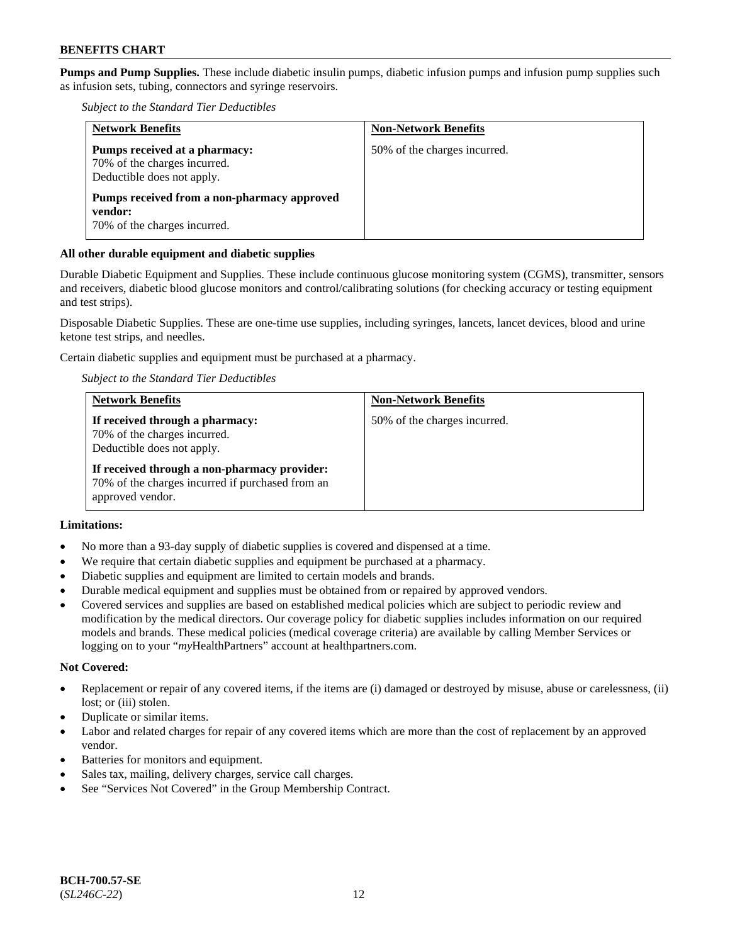**Pumps and Pump Supplies.** These include diabetic insulin pumps, diabetic infusion pumps and infusion pump supplies such as infusion sets, tubing, connectors and syringe reservoirs.

*Subject to the Standard Tier Deductibles*

| <b>Network Benefits</b>                                                                     | <b>Non-Network Benefits</b>  |
|---------------------------------------------------------------------------------------------|------------------------------|
| Pumps received at a pharmacy:<br>70% of the charges incurred.<br>Deductible does not apply. | 50% of the charges incurred. |
| Pumps received from a non-pharmacy approved<br>vendor:<br>70% of the charges incurred.      |                              |

### **All other durable equipment and diabetic supplies**

Durable Diabetic Equipment and Supplies. These include continuous glucose monitoring system (CGMS), transmitter, sensors and receivers, diabetic blood glucose monitors and control/calibrating solutions (for checking accuracy or testing equipment and test strips).

Disposable Diabetic Supplies. These are one-time use supplies, including syringes, lancets, lancet devices, blood and urine ketone test strips, and needles.

Certain diabetic supplies and equipment must be purchased at a pharmacy.

*Subject to the Standard Tier Deductibles*

| <b>Network Benefits</b>                                                                                              | <b>Non-Network Benefits</b>  |
|----------------------------------------------------------------------------------------------------------------------|------------------------------|
| If received through a pharmacy:<br>70% of the charges incurred.<br>Deductible does not apply.                        | 50% of the charges incurred. |
| If received through a non-pharmacy provider:<br>70% of the charges incurred if purchased from an<br>approved vendor. |                              |

# **Limitations:**

- No more than a 93-day supply of diabetic supplies is covered and dispensed at a time.
- We require that certain diabetic supplies and equipment be purchased at a pharmacy.
- Diabetic supplies and equipment are limited to certain models and brands.
- Durable medical equipment and supplies must be obtained from or repaired by approved vendors.
- Covered services and supplies are based on established medical policies which are subject to periodic review and modification by the medical directors. Our coverage policy for diabetic supplies includes information on our required models and brands. These medical policies (medical coverage criteria) are available by calling Member Services or logging on to your "*my*HealthPartners" account at [healthpartners.com.](http://www.healthpartners.com/)

#### **Not Covered:**

- Replacement or repair of any covered items, if the items are (i) damaged or destroyed by misuse, abuse or carelessness, (ii) lost; or (iii) stolen.
- Duplicate or similar items.
- Labor and related charges for repair of any covered items which are more than the cost of replacement by an approved vendor.
- Batteries for monitors and equipment.
- Sales tax, mailing, delivery charges, service call charges.
- See "Services Not Covered" in the Group Membership Contract.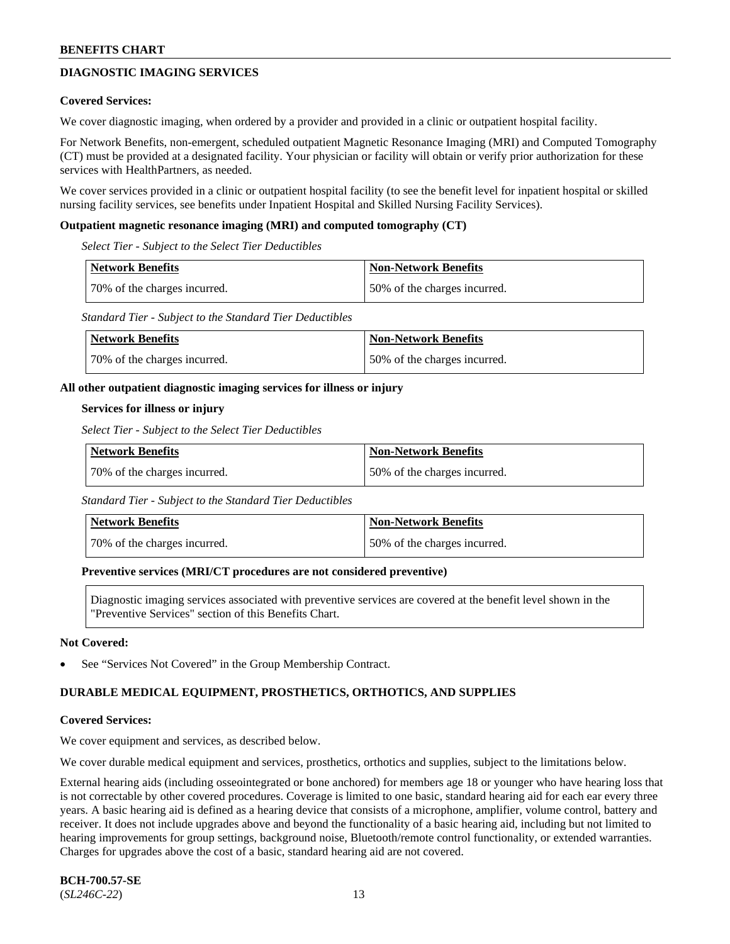# **DIAGNOSTIC IMAGING SERVICES**

#### **Covered Services:**

We cover diagnostic imaging, when ordered by a provider and provided in a clinic or outpatient hospital facility.

For Network Benefits, non-emergent, scheduled outpatient Magnetic Resonance Imaging (MRI) and Computed Tomography (CT) must be provided at a designated facility. Your physician or facility will obtain or verify prior authorization for these services with HealthPartners, as needed.

We cover services provided in a clinic or outpatient hospital facility (to see the benefit level for inpatient hospital or skilled nursing facility services, see benefits under Inpatient Hospital and Skilled Nursing Facility Services).

#### **Outpatient magnetic resonance imaging (MRI) and computed tomography (CT)**

*Select Tier - Subject to the Select Tier Deductibles*

| <b>Network Benefits</b>      | <b>Non-Network Benefits</b>  |
|------------------------------|------------------------------|
| 70% of the charges incurred. | 50% of the charges incurred. |

*Standard Tier - Subject to the Standard Tier Deductibles*

| <b>Network Benefits</b>      | <b>Non-Network Benefits</b>  |
|------------------------------|------------------------------|
| 70% of the charges incurred. | 50% of the charges incurred. |

#### **All other outpatient diagnostic imaging services for illness or injury**

#### **Services for illness or injury**

*Select Tier - Subject to the Select Tier Deductibles*

| Network Benefits             | Non-Network Benefits         |
|------------------------------|------------------------------|
| 70% of the charges incurred. | 50% of the charges incurred. |

*Standard Tier - Subject to the Standard Tier Deductibles*

| Network Benefits             | Non-Network Benefits         |
|------------------------------|------------------------------|
| 70% of the charges incurred. | 50% of the charges incurred. |

#### **Preventive services (MRI/CT procedures are not considered preventive)**

Diagnostic imaging services associated with preventive services are covered at the benefit level shown in the "Preventive Services" section of this Benefits Chart.

#### **Not Covered:**

See "Services Not Covered" in the Group Membership Contract.

## **DURABLE MEDICAL EQUIPMENT, PROSTHETICS, ORTHOTICS, AND SUPPLIES**

#### **Covered Services:**

We cover equipment and services, as described below.

We cover durable medical equipment and services, prosthetics, orthotics and supplies, subject to the limitations below.

External hearing aids (including osseointegrated or bone anchored) for members age 18 or younger who have hearing loss that is not correctable by other covered procedures. Coverage is limited to one basic, standard hearing aid for each ear every three years. A basic hearing aid is defined as a hearing device that consists of a microphone, amplifier, volume control, battery and receiver. It does not include upgrades above and beyond the functionality of a basic hearing aid, including but not limited to hearing improvements for group settings, background noise, Bluetooth/remote control functionality, or extended warranties. Charges for upgrades above the cost of a basic, standard hearing aid are not covered.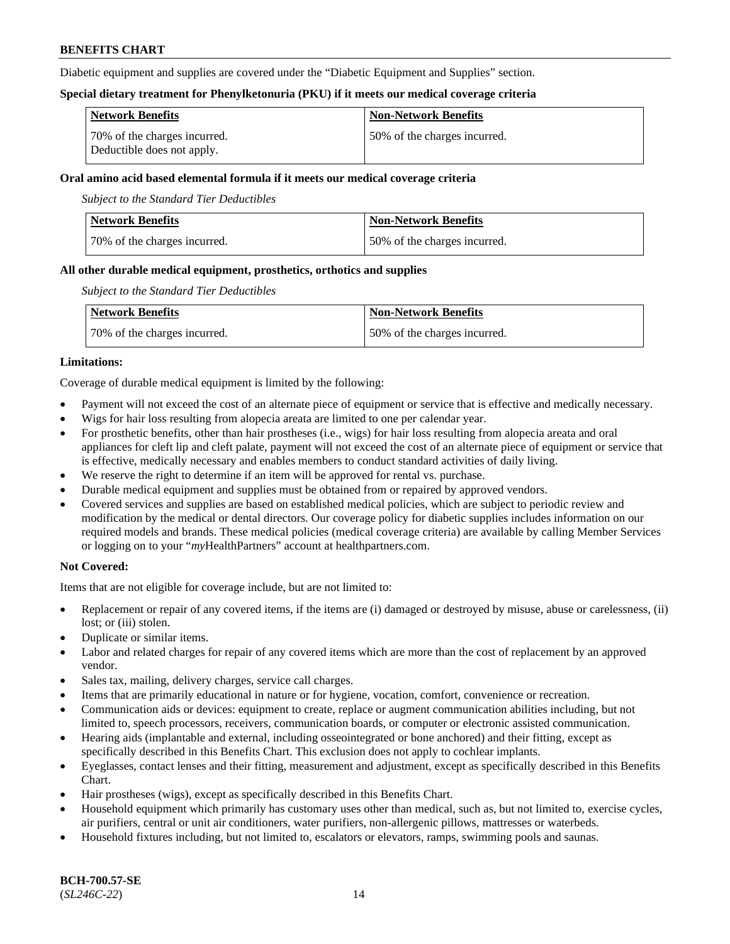Diabetic equipment and supplies are covered under the "Diabetic Equipment and Supplies" section.

### **Special dietary treatment for Phenylketonuria (PKU) if it meets our medical coverage criteria**

| <b>Network Benefits</b>                                    | <b>Non-Network Benefits</b>   |
|------------------------------------------------------------|-------------------------------|
| 70% of the charges incurred.<br>Deductible does not apply. | 150% of the charges incurred. |

### **Oral amino acid based elemental formula if it meets our medical coverage criteria**

*Subject to the Standard Tier Deductibles*

| <b>Network Benefits</b>      | <b>Non-Network Benefits</b>  |
|------------------------------|------------------------------|
| 70% of the charges incurred. | 50% of the charges incurred. |

#### **All other durable medical equipment, prosthetics, orthotics and supplies**

*Subject to the Standard Tier Deductibles*

| <b>Network Benefits</b>      | Non-Network Benefits         |
|------------------------------|------------------------------|
| 70% of the charges incurred. | 50% of the charges incurred. |

## **Limitations:**

Coverage of durable medical equipment is limited by the following:

- Payment will not exceed the cost of an alternate piece of equipment or service that is effective and medically necessary.
- Wigs for hair loss resulting from alopecia areata are limited to one per calendar year.
- For prosthetic benefits, other than hair prostheses (i.e., wigs) for hair loss resulting from alopecia areata and oral appliances for cleft lip and cleft palate, payment will not exceed the cost of an alternate piece of equipment or service that is effective, medically necessary and enables members to conduct standard activities of daily living.
- We reserve the right to determine if an item will be approved for rental vs. purchase.
- Durable medical equipment and supplies must be obtained from or repaired by approved vendors.
- Covered services and supplies are based on established medical policies, which are subject to periodic review and modification by the medical or dental directors. Our coverage policy for diabetic supplies includes information on our required models and brands. These medical policies (medical coverage criteria) are available by calling Member Services or logging on to your "*my*HealthPartners" account a[t healthpartners.com.](https://www.healthpartners.com/hp/index.html)

## **Not Covered:**

Items that are not eligible for coverage include, but are not limited to:

- Replacement or repair of any covered items, if the items are (i) damaged or destroyed by misuse, abuse or carelessness, (ii) lost; or (iii) stolen.
- Duplicate or similar items.
- Labor and related charges for repair of any covered items which are more than the cost of replacement by an approved vendor.
- Sales tax, mailing, delivery charges, service call charges.
- Items that are primarily educational in nature or for hygiene, vocation, comfort, convenience or recreation.
- Communication aids or devices: equipment to create, replace or augment communication abilities including, but not limited to, speech processors, receivers, communication boards, or computer or electronic assisted communication.
- Hearing aids (implantable and external, including osseointegrated or bone anchored) and their fitting, except as specifically described in this Benefits Chart. This exclusion does not apply to cochlear implants.
- Eyeglasses, contact lenses and their fitting, measurement and adjustment, except as specifically described in this Benefits Chart.
- Hair prostheses (wigs), except as specifically described in this Benefits Chart.
- Household equipment which primarily has customary uses other than medical, such as, but not limited to, exercise cycles, air purifiers, central or unit air conditioners, water purifiers, non-allergenic pillows, mattresses or waterbeds.
- Household fixtures including, but not limited to, escalators or elevators, ramps, swimming pools and saunas.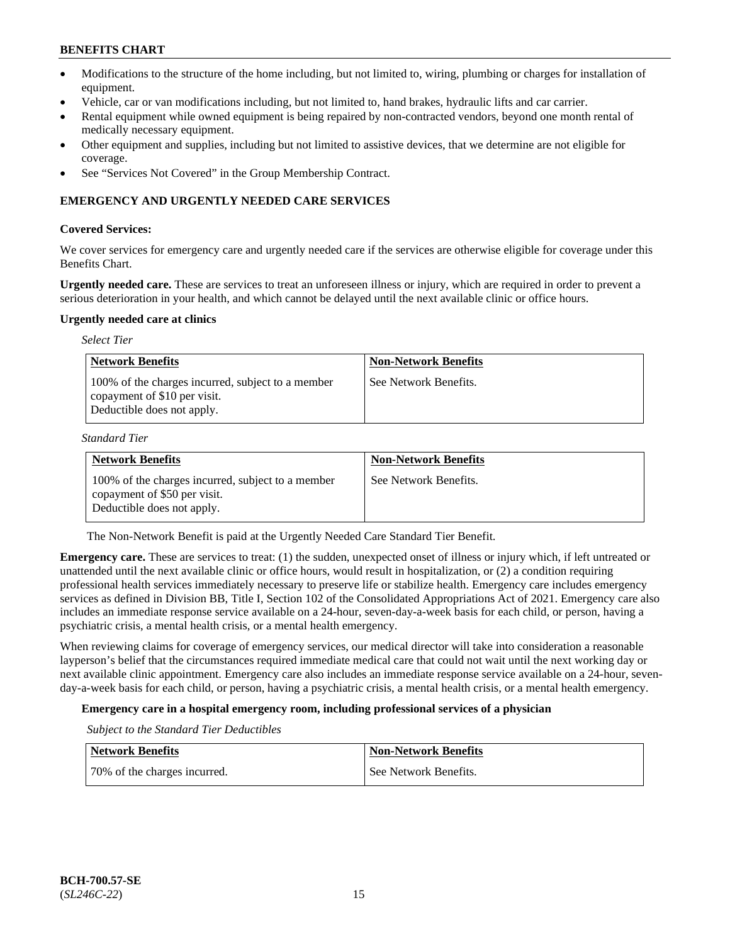- Modifications to the structure of the home including, but not limited to, wiring, plumbing or charges for installation of equipment.
- Vehicle, car or van modifications including, but not limited to, hand brakes, hydraulic lifts and car carrier.
- Rental equipment while owned equipment is being repaired by non-contracted vendors, beyond one month rental of medically necessary equipment.
- Other equipment and supplies, including but not limited to assistive devices, that we determine are not eligible for coverage.
- See "Services Not Covered" in the Group Membership Contract.

# **EMERGENCY AND URGENTLY NEEDED CARE SERVICES**

### **Covered Services:**

We cover services for emergency care and urgently needed care if the services are otherwise eligible for coverage under this Benefits Chart.

**Urgently needed care.** These are services to treat an unforeseen illness or injury, which are required in order to prevent a serious deterioration in your health, and which cannot be delayed until the next available clinic or office hours.

#### **Urgently needed care at clinics**

| <b>Select Tier</b>                                                                                              |                             |
|-----------------------------------------------------------------------------------------------------------------|-----------------------------|
| <b>Network Benefits</b>                                                                                         | <b>Non-Network Benefits</b> |
| 100% of the charges incurred, subject to a member<br>copayment of \$10 per visit.<br>Deductible does not apply. | See Network Benefits.       |

*Standard Tier*

| <b>Network Benefits</b>                                                                                         | <b>Non-Network Benefits</b> |
|-----------------------------------------------------------------------------------------------------------------|-----------------------------|
| 100% of the charges incurred, subject to a member<br>copayment of \$50 per visit.<br>Deductible does not apply. | See Network Benefits.       |

The Non-Network Benefit is paid at the Urgently Needed Care Standard Tier Benefit.

**Emergency care.** These are services to treat: (1) the sudden, unexpected onset of illness or injury which, if left untreated or unattended until the next available clinic or office hours, would result in hospitalization, or (2) a condition requiring professional health services immediately necessary to preserve life or stabilize health. Emergency care includes emergency services as defined in Division BB, Title I, Section 102 of the Consolidated Appropriations Act of 2021. Emergency care also includes an immediate response service available on a 24-hour, seven-day-a-week basis for each child, or person, having a psychiatric crisis, a mental health crisis, or a mental health emergency.

When reviewing claims for coverage of emergency services, our medical director will take into consideration a reasonable layperson's belief that the circumstances required immediate medical care that could not wait until the next working day or next available clinic appointment. Emergency care also includes an immediate response service available on a 24-hour, sevenday-a-week basis for each child, or person, having a psychiatric crisis, a mental health crisis, or a mental health emergency.

# **Emergency care in a hospital emergency room, including professional services of a physician**

*Subject to the Standard Tier Deductibles*

| <b>Network Benefits</b>      | <b>Non-Network Benefits</b> |
|------------------------------|-----------------------------|
| 70% of the charges incurred. | See Network Benefits.       |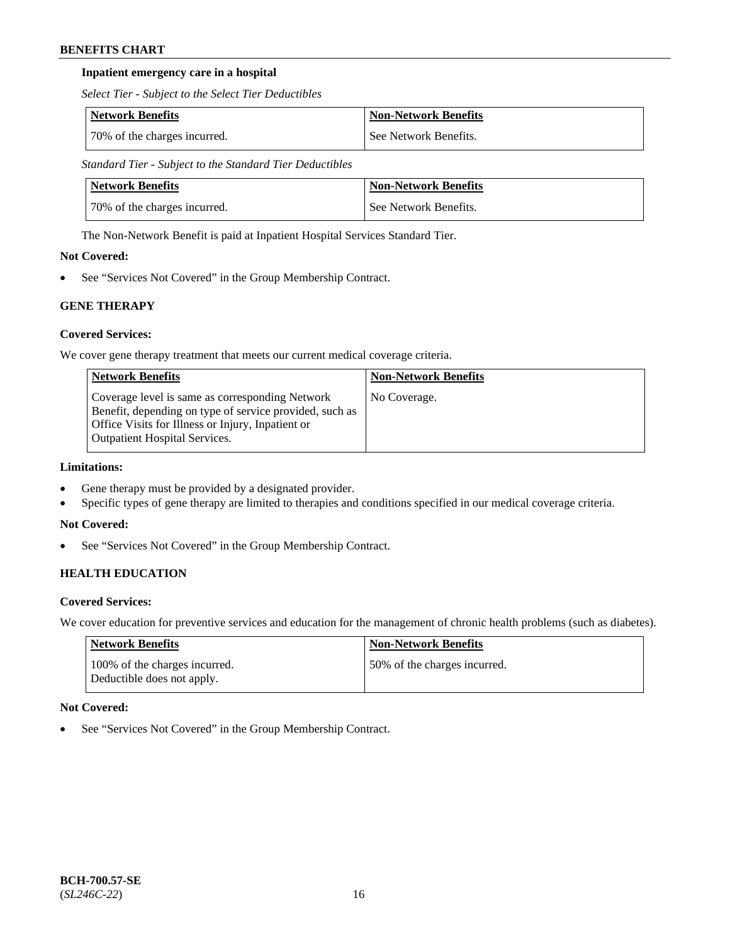# **Inpatient emergency care in a hospital**

*Select Tier - Subject to the Select Tier Deductibles*

| Network Benefits             | Non-Network Benefits  |
|------------------------------|-----------------------|
| 70% of the charges incurred. | See Network Benefits. |

*Standard Tier - Subject to the Standard Tier Deductibles*

| Network Benefits             | <b>Non-Network Benefits</b> |
|------------------------------|-----------------------------|
| 70% of the charges incurred. | See Network Benefits.       |

The Non-Network Benefit is paid at Inpatient Hospital Services Standard Tier.

# **Not Covered:**

See "Services Not Covered" in the Group Membership Contract.

# **GENE THERAPY**

# **Covered Services:**

We cover gene therapy treatment that meets our current medical coverage criteria.

| <b>Network Benefits</b>                                                                                                                                                                                 | <b>Non-Network Benefits</b> |
|---------------------------------------------------------------------------------------------------------------------------------------------------------------------------------------------------------|-----------------------------|
| Coverage level is same as corresponding Network<br>Benefit, depending on type of service provided, such as<br>Office Visits for Illness or Injury, Inpatient or<br><b>Outpatient Hospital Services.</b> | No Coverage.                |

# **Limitations:**

- Gene therapy must be provided by a designated provider.
- Specific types of gene therapy are limited to therapies and conditions specified in our medical coverage criteria.

## **Not Covered:**

• See "Services Not Covered" in the Group Membership Contract.

# **HEALTH EDUCATION**

## **Covered Services:**

We cover education for preventive services and education for the management of chronic health problems (such as diabetes).

| Network Benefits                                            | <b>Non-Network Benefits</b>  |
|-------------------------------------------------------------|------------------------------|
| 100% of the charges incurred.<br>Deductible does not apply. | 50% of the charges incurred. |

## **Not Covered:**

See "Services Not Covered" in the Group Membership Contract.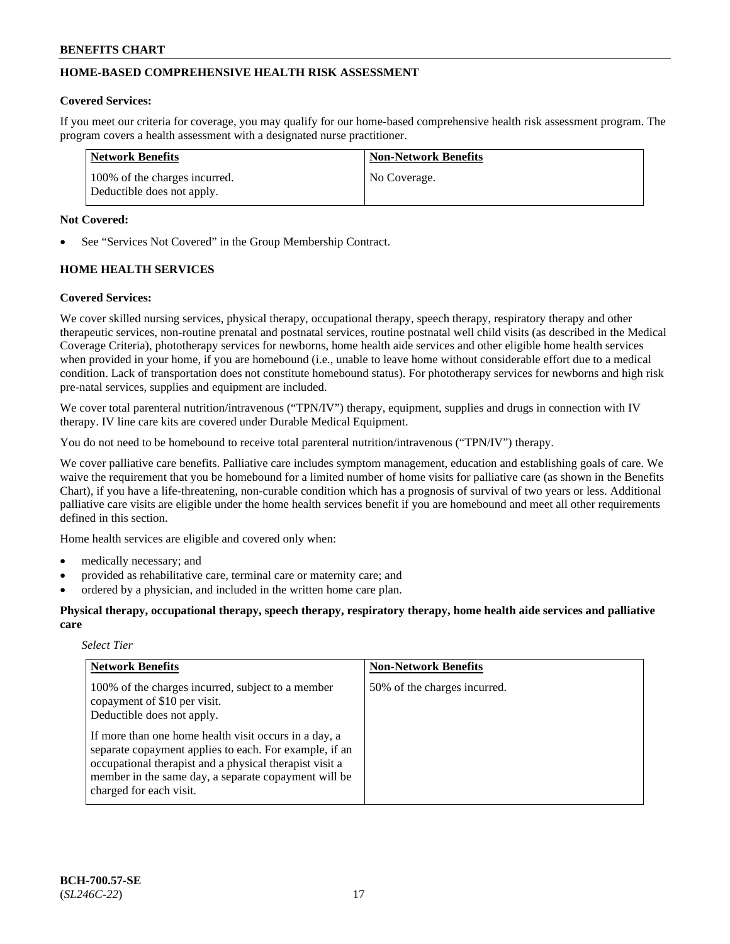# **HOME-BASED COMPREHENSIVE HEALTH RISK ASSESSMENT**

#### **Covered Services:**

If you meet our criteria for coverage, you may qualify for our home-based comprehensive health risk assessment program. The program covers a health assessment with a designated nurse practitioner.

| Network Benefits                                            | <b>Non-Network Benefits</b> |
|-------------------------------------------------------------|-----------------------------|
| 100% of the charges incurred.<br>Deductible does not apply. | No Coverage.                |

### **Not Covered:**

See "Services Not Covered" in the Group Membership Contract.

# **HOME HEALTH SERVICES**

#### **Covered Services:**

We cover skilled nursing services, physical therapy, occupational therapy, speech therapy, respiratory therapy and other therapeutic services, non-routine prenatal and postnatal services, routine postnatal well child visits (as described in the Medical Coverage Criteria), phototherapy services for newborns, home health aide services and other eligible home health services when provided in your home, if you are homebound (i.e., unable to leave home without considerable effort due to a medical condition. Lack of transportation does not constitute homebound status). For phototherapy services for newborns and high risk pre-natal services, supplies and equipment are included.

We cover total parenteral nutrition/intravenous ("TPN/IV") therapy, equipment, supplies and drugs in connection with IV therapy. IV line care kits are covered under Durable Medical Equipment.

You do not need to be homebound to receive total parenteral nutrition/intravenous ("TPN/IV") therapy.

We cover palliative care benefits. Palliative care includes symptom management, education and establishing goals of care. We waive the requirement that you be homebound for a limited number of home visits for palliative care (as shown in the Benefits Chart), if you have a life-threatening, non-curable condition which has a prognosis of survival of two years or less. Additional palliative care visits are eligible under the home health services benefit if you are homebound and meet all other requirements defined in this section.

Home health services are eligible and covered only when:

- medically necessary; and
- provided as rehabilitative care, terminal care or maternity care; and
- ordered by a physician, and included in the written home care plan.

**Physical therapy, occupational therapy, speech therapy, respiratory therapy, home health aide services and palliative care**

#### *Select Tier*

| <b>Network Benefits</b>                                                                                                                                                                                                                                       | <b>Non-Network Benefits</b>  |
|---------------------------------------------------------------------------------------------------------------------------------------------------------------------------------------------------------------------------------------------------------------|------------------------------|
| 100% of the charges incurred, subject to a member<br>copayment of \$10 per visit.<br>Deductible does not apply.                                                                                                                                               | 50% of the charges incurred. |
| If more than one home health visit occurs in a day, a<br>separate copayment applies to each. For example, if an<br>occupational therapist and a physical therapist visit a<br>member in the same day, a separate copayment will be<br>charged for each visit. |                              |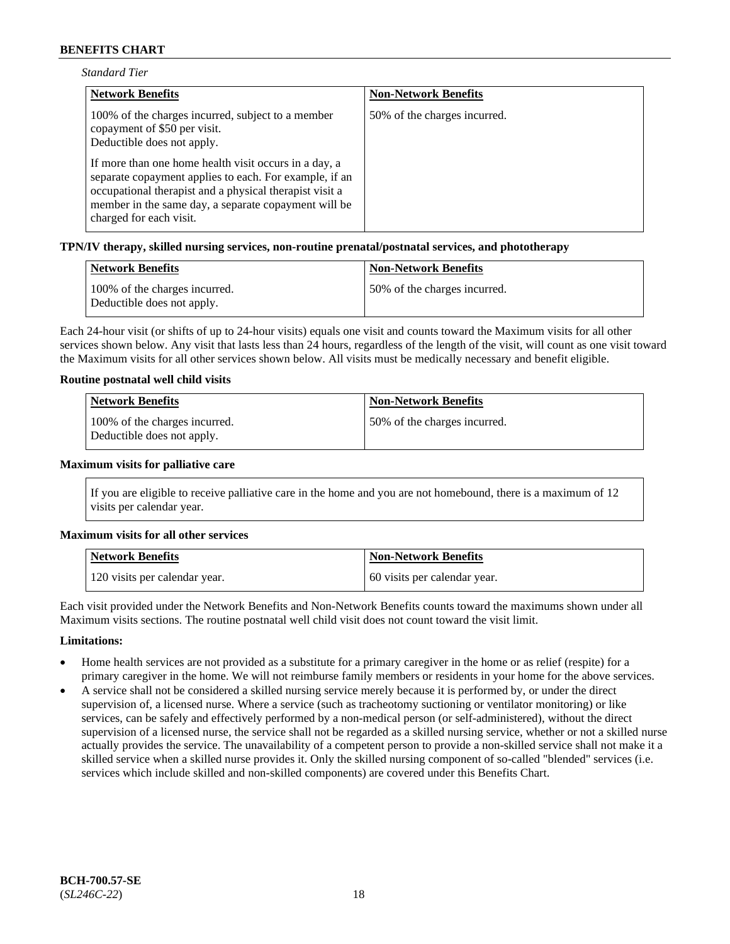| <b>Standard Tier</b> |  |
|----------------------|--|
|----------------------|--|

| <b>Network Benefits</b>                                                                                                                                                                                                                                       | <b>Non-Network Benefits</b>  |
|---------------------------------------------------------------------------------------------------------------------------------------------------------------------------------------------------------------------------------------------------------------|------------------------------|
| 100% of the charges incurred, subject to a member<br>copayment of \$50 per visit.<br>Deductible does not apply.                                                                                                                                               | 50% of the charges incurred. |
| If more than one home health visit occurs in a day, a<br>separate copayment applies to each. For example, if an<br>occupational therapist and a physical therapist visit a<br>member in the same day, a separate copayment will be<br>charged for each visit. |                              |

#### **TPN/IV therapy, skilled nursing services, non-routine prenatal/postnatal services, and phototherapy**

| Network Benefits                                            | <b>Non-Network Benefits</b>  |
|-------------------------------------------------------------|------------------------------|
| 100% of the charges incurred.<br>Deductible does not apply. | 50% of the charges incurred. |

Each 24-hour visit (or shifts of up to 24-hour visits) equals one visit and counts toward the Maximum visits for all other services shown below. Any visit that lasts less than 24 hours, regardless of the length of the visit, will count as one visit toward the Maximum visits for all other services shown below. All visits must be medically necessary and benefit eligible.

#### **Routine postnatal well child visits**

| Network Benefits                                            | <b>Non-Network Benefits</b>  |
|-------------------------------------------------------------|------------------------------|
| 100% of the charges incurred.<br>Deductible does not apply. | 50% of the charges incurred. |

#### **Maximum visits for palliative care**

If you are eligible to receive palliative care in the home and you are not homebound, there is a maximum of 12 visits per calendar year.

#### **Maximum visits for all other services**

| <b>Network Benefits</b>       | <b>Non-Network Benefits</b>  |
|-------------------------------|------------------------------|
| 120 visits per calendar year. | 60 visits per calendar year. |

Each visit provided under the Network Benefits and Non-Network Benefits counts toward the maximums shown under all Maximum visits sections. The routine postnatal well child visit does not count toward the visit limit.

#### **Limitations:**

- Home health services are not provided as a substitute for a primary caregiver in the home or as relief (respite) for a primary caregiver in the home. We will not reimburse family members or residents in your home for the above services.
- A service shall not be considered a skilled nursing service merely because it is performed by, or under the direct supervision of, a licensed nurse. Where a service (such as tracheotomy suctioning or ventilator monitoring) or like services, can be safely and effectively performed by a non-medical person (or self-administered), without the direct supervision of a licensed nurse, the service shall not be regarded as a skilled nursing service, whether or not a skilled nurse actually provides the service. The unavailability of a competent person to provide a non-skilled service shall not make it a skilled service when a skilled nurse provides it. Only the skilled nursing component of so-called "blended" services (i.e. services which include skilled and non-skilled components) are covered under this Benefits Chart.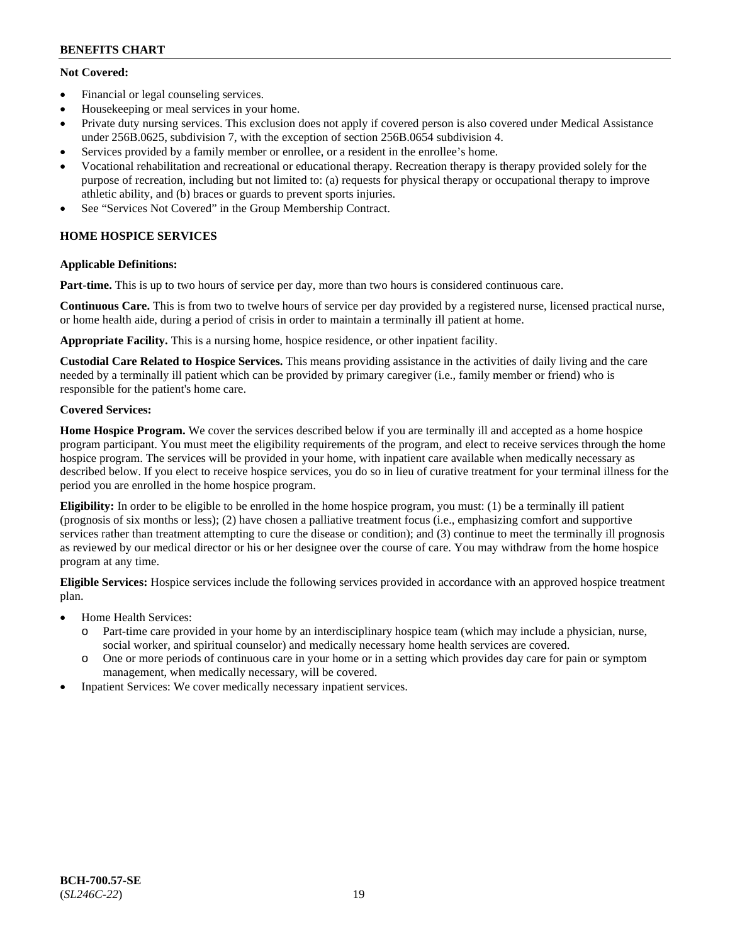# **Not Covered:**

- Financial or legal counseling services.
- Housekeeping or meal services in your home.
- Private duty nursing services. This exclusion does not apply if covered person is also covered under Medical Assistance under 256B.0625, subdivision 7, with the exception of section 256B.0654 subdivision 4.
- Services provided by a family member or enrollee, or a resident in the enrollee's home.
- Vocational rehabilitation and recreational or educational therapy. Recreation therapy is therapy provided solely for the purpose of recreation, including but not limited to: (a) requests for physical therapy or occupational therapy to improve athletic ability, and (b) braces or guards to prevent sports injuries.
- See "Services Not Covered" in the Group Membership Contract.

# **HOME HOSPICE SERVICES**

# **Applicable Definitions:**

**Part-time.** This is up to two hours of service per day, more than two hours is considered continuous care.

**Continuous Care.** This is from two to twelve hours of service per day provided by a registered nurse, licensed practical nurse, or home health aide, during a period of crisis in order to maintain a terminally ill patient at home.

**Appropriate Facility.** This is a nursing home, hospice residence, or other inpatient facility.

**Custodial Care Related to Hospice Services.** This means providing assistance in the activities of daily living and the care needed by a terminally ill patient which can be provided by primary caregiver (i.e., family member or friend) who is responsible for the patient's home care.

# **Covered Services:**

**Home Hospice Program.** We cover the services described below if you are terminally ill and accepted as a home hospice program participant. You must meet the eligibility requirements of the program, and elect to receive services through the home hospice program. The services will be provided in your home, with inpatient care available when medically necessary as described below. If you elect to receive hospice services, you do so in lieu of curative treatment for your terminal illness for the period you are enrolled in the home hospice program.

**Eligibility:** In order to be eligible to be enrolled in the home hospice program, you must: (1) be a terminally ill patient (prognosis of six months or less); (2) have chosen a palliative treatment focus (i.e., emphasizing comfort and supportive services rather than treatment attempting to cure the disease or condition); and (3) continue to meet the terminally ill prognosis as reviewed by our medical director or his or her designee over the course of care. You may withdraw from the home hospice program at any time.

**Eligible Services:** Hospice services include the following services provided in accordance with an approved hospice treatment plan.

- Home Health Services:
	- o Part-time care provided in your home by an interdisciplinary hospice team (which may include a physician, nurse, social worker, and spiritual counselor) and medically necessary home health services are covered.
	- o One or more periods of continuous care in your home or in a setting which provides day care for pain or symptom management, when medically necessary, will be covered.
- Inpatient Services: We cover medically necessary inpatient services.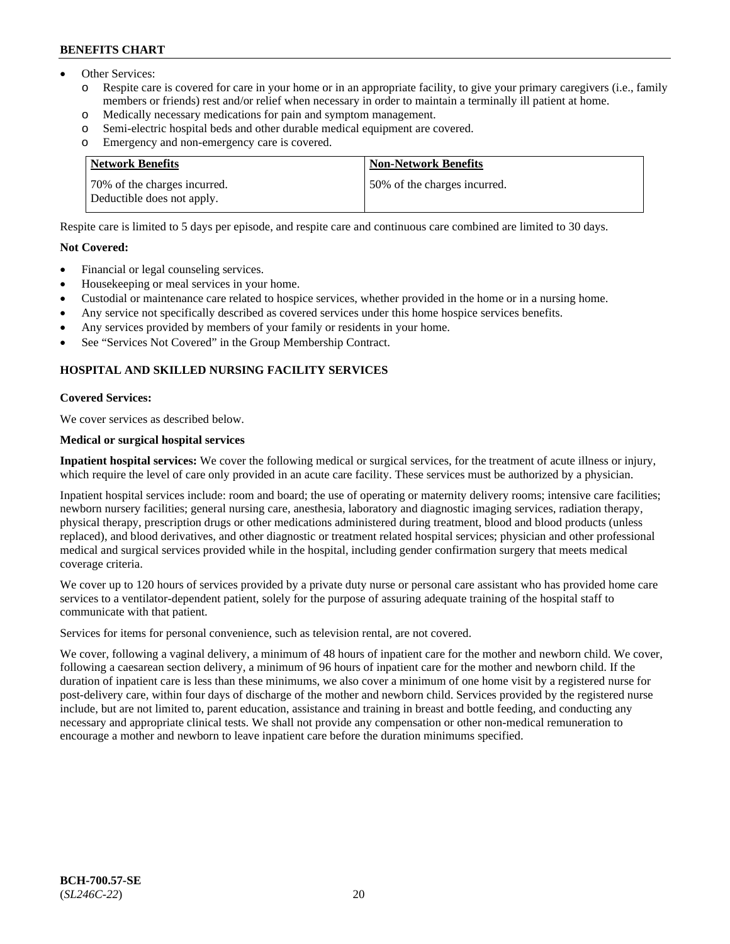- Other Services:
	- Respite care is covered for care in your home or in an appropriate facility, to give your primary caregivers (i.e., family members or friends) rest and/or relief when necessary in order to maintain a terminally ill patient at home.
	- o Medically necessary medications for pain and symptom management.
	- o Semi-electric hospital beds and other durable medical equipment are covered.
	- Emergency and non-emergency care is covered.

| Network Benefits                                           | <b>Non-Network Benefits</b>  |
|------------------------------------------------------------|------------------------------|
| 70% of the charges incurred.<br>Deductible does not apply. | 50% of the charges incurred. |

Respite care is limited to 5 days per episode, and respite care and continuous care combined are limited to 30 days.

#### **Not Covered:**

- Financial or legal counseling services.
- Housekeeping or meal services in your home.
- Custodial or maintenance care related to hospice services, whether provided in the home or in a nursing home.
- Any service not specifically described as covered services under this home hospice services benefits.
- Any services provided by members of your family or residents in your home.
- See "Services Not Covered" in the Group Membership Contract.

# **HOSPITAL AND SKILLED NURSING FACILITY SERVICES**

#### **Covered Services:**

We cover services as described below.

## **Medical or surgical hospital services**

**Inpatient hospital services:** We cover the following medical or surgical services, for the treatment of acute illness or injury, which require the level of care only provided in an acute care facility. These services must be authorized by a physician.

Inpatient hospital services include: room and board; the use of operating or maternity delivery rooms; intensive care facilities; newborn nursery facilities; general nursing care, anesthesia, laboratory and diagnostic imaging services, radiation therapy, physical therapy, prescription drugs or other medications administered during treatment, blood and blood products (unless replaced), and blood derivatives, and other diagnostic or treatment related hospital services; physician and other professional medical and surgical services provided while in the hospital, including gender confirmation surgery that meets medical coverage criteria.

We cover up to 120 hours of services provided by a private duty nurse or personal care assistant who has provided home care services to a ventilator-dependent patient, solely for the purpose of assuring adequate training of the hospital staff to communicate with that patient.

Services for items for personal convenience, such as television rental, are not covered.

We cover, following a vaginal delivery, a minimum of 48 hours of inpatient care for the mother and newborn child. We cover, following a caesarean section delivery, a minimum of 96 hours of inpatient care for the mother and newborn child. If the duration of inpatient care is less than these minimums, we also cover a minimum of one home visit by a registered nurse for post-delivery care, within four days of discharge of the mother and newborn child. Services provided by the registered nurse include, but are not limited to, parent education, assistance and training in breast and bottle feeding, and conducting any necessary and appropriate clinical tests. We shall not provide any compensation or other non-medical remuneration to encourage a mother and newborn to leave inpatient care before the duration minimums specified.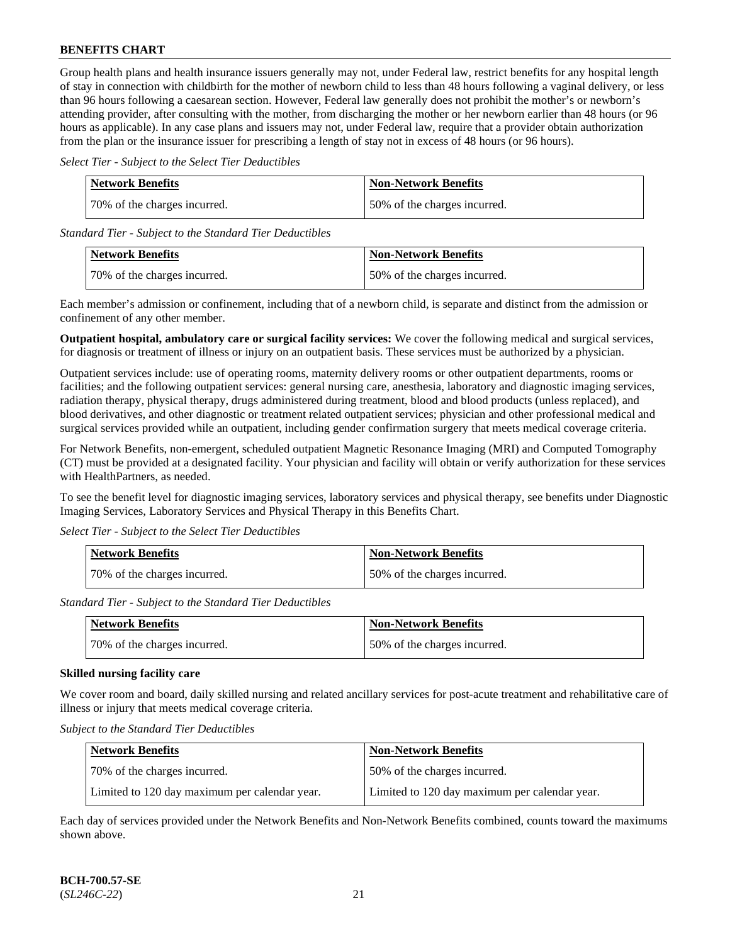Group health plans and health insurance issuers generally may not, under Federal law, restrict benefits for any hospital length of stay in connection with childbirth for the mother of newborn child to less than 48 hours following a vaginal delivery, or less than 96 hours following a caesarean section. However, Federal law generally does not prohibit the mother's or newborn's attending provider, after consulting with the mother, from discharging the mother or her newborn earlier than 48 hours (or 96 hours as applicable). In any case plans and issuers may not, under Federal law, require that a provider obtain authorization from the plan or the insurance issuer for prescribing a length of stay not in excess of 48 hours (or 96 hours).

*Select Tier - Subject to the Select Tier Deductibles*

| Network Benefits             | <b>Non-Network Benefits</b>  |
|------------------------------|------------------------------|
| 70% of the charges incurred. | 50% of the charges incurred. |

*Standard Tier - Subject to the Standard Tier Deductibles*

| <b>Network Benefits</b>       | <b>Non-Network Benefits</b>  |
|-------------------------------|------------------------------|
| 170% of the charges incurred. | 50% of the charges incurred. |

Each member's admission or confinement, including that of a newborn child, is separate and distinct from the admission or confinement of any other member.

**Outpatient hospital, ambulatory care or surgical facility services:** We cover the following medical and surgical services, for diagnosis or treatment of illness or injury on an outpatient basis. These services must be authorized by a physician.

Outpatient services include: use of operating rooms, maternity delivery rooms or other outpatient departments, rooms or facilities; and the following outpatient services: general nursing care, anesthesia, laboratory and diagnostic imaging services, radiation therapy, physical therapy, drugs administered during treatment, blood and blood products (unless replaced), and blood derivatives, and other diagnostic or treatment related outpatient services; physician and other professional medical and surgical services provided while an outpatient, including gender confirmation surgery that meets medical coverage criteria.

For Network Benefits, non-emergent, scheduled outpatient Magnetic Resonance Imaging (MRI) and Computed Tomography (CT) must be provided at a designated facility. Your physician and facility will obtain or verify authorization for these services with HealthPartners, as needed.

To see the benefit level for diagnostic imaging services, laboratory services and physical therapy, see benefits under Diagnostic Imaging Services, Laboratory Services and Physical Therapy in this Benefits Chart.

*Select Tier - Subject to the Select Tier Deductibles*

| Network Benefits             | <b>Non-Network Benefits</b>  |
|------------------------------|------------------------------|
| 70% of the charges incurred. | 50% of the charges incurred. |

*Standard Tier - Subject to the Standard Tier Deductibles*

| Network Benefits             | <b>Non-Network Benefits</b>   |
|------------------------------|-------------------------------|
| 70% of the charges incurred. | 150% of the charges incurred. |

## **Skilled nursing facility care**

We cover room and board, daily skilled nursing and related ancillary services for post-acute treatment and rehabilitative care of illness or injury that meets medical coverage criteria.

*Subject to the Standard Tier Deductibles*

| <b>Network Benefits</b>                       | <b>Non-Network Benefits</b>                   |
|-----------------------------------------------|-----------------------------------------------|
| 70% of the charges incurred.                  | 50% of the charges incurred.                  |
| Limited to 120 day maximum per calendar year. | Limited to 120 day maximum per calendar year. |

Each day of services provided under the Network Benefits and Non-Network Benefits combined, counts toward the maximums shown above.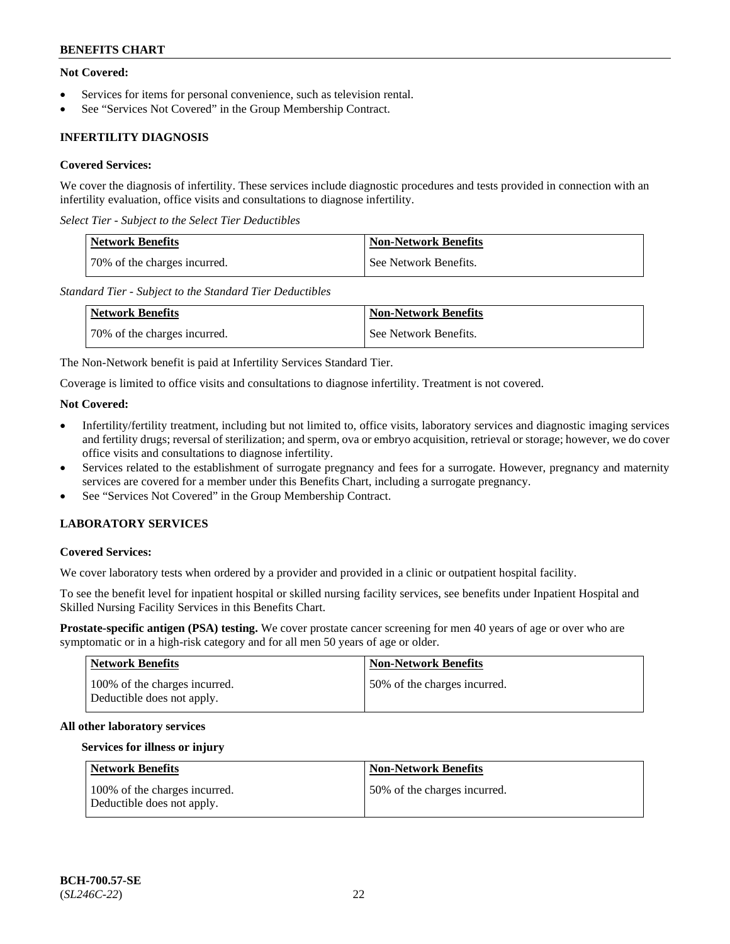# **Not Covered:**

- Services for items for personal convenience, such as television rental.
- See "Services Not Covered" in the Group Membership Contract.

# **INFERTILITY DIAGNOSIS**

### **Covered Services:**

We cover the diagnosis of infertility. These services include diagnostic procedures and tests provided in connection with an infertility evaluation, office visits and consultations to diagnose infertility.

*Select Tier - Subject to the Select Tier Deductibles*

| <b>Network Benefits</b>       | <b>Non-Network Benefits</b> |
|-------------------------------|-----------------------------|
| 170% of the charges incurred. | See Network Benefits.       |

*Standard Tier - Subject to the Standard Tier Deductibles*

| <b>Network Benefits</b>      | <b>Non-Network Benefits</b> |
|------------------------------|-----------------------------|
| 70% of the charges incurred. | See Network Benefits.       |

The Non-Network benefit is paid at Infertility Services Standard Tier.

Coverage is limited to office visits and consultations to diagnose infertility. Treatment is not covered.

#### **Not Covered:**

- Infertility/fertility treatment, including but not limited to, office visits, laboratory services and diagnostic imaging services and fertility drugs; reversal of sterilization; and sperm, ova or embryo acquisition, retrieval or storage; however, we do cover office visits and consultations to diagnose infertility.
- Services related to the establishment of surrogate pregnancy and fees for a surrogate. However, pregnancy and maternity services are covered for a member under this Benefits Chart, including a surrogate pregnancy.
- See "Services Not Covered" in the Group Membership Contract.

# **LABORATORY SERVICES**

#### **Covered Services:**

We cover laboratory tests when ordered by a provider and provided in a clinic or outpatient hospital facility.

To see the benefit level for inpatient hospital or skilled nursing facility services, see benefits under Inpatient Hospital and Skilled Nursing Facility Services in this Benefits Chart.

**Prostate-specific antigen (PSA) testing.** We cover prostate cancer screening for men 40 years of age or over who are symptomatic or in a high-risk category and for all men 50 years of age or older.

| <b>Network Benefits</b>                                     | <b>Non-Network Benefits</b>  |
|-------------------------------------------------------------|------------------------------|
| 100% of the charges incurred.<br>Deductible does not apply. | 50% of the charges incurred. |

#### **All other laboratory services**

#### **Services for illness or injury**

| Network Benefits                                            | <b>Non-Network Benefits</b>  |
|-------------------------------------------------------------|------------------------------|
| 100% of the charges incurred.<br>Deductible does not apply. | 50% of the charges incurred. |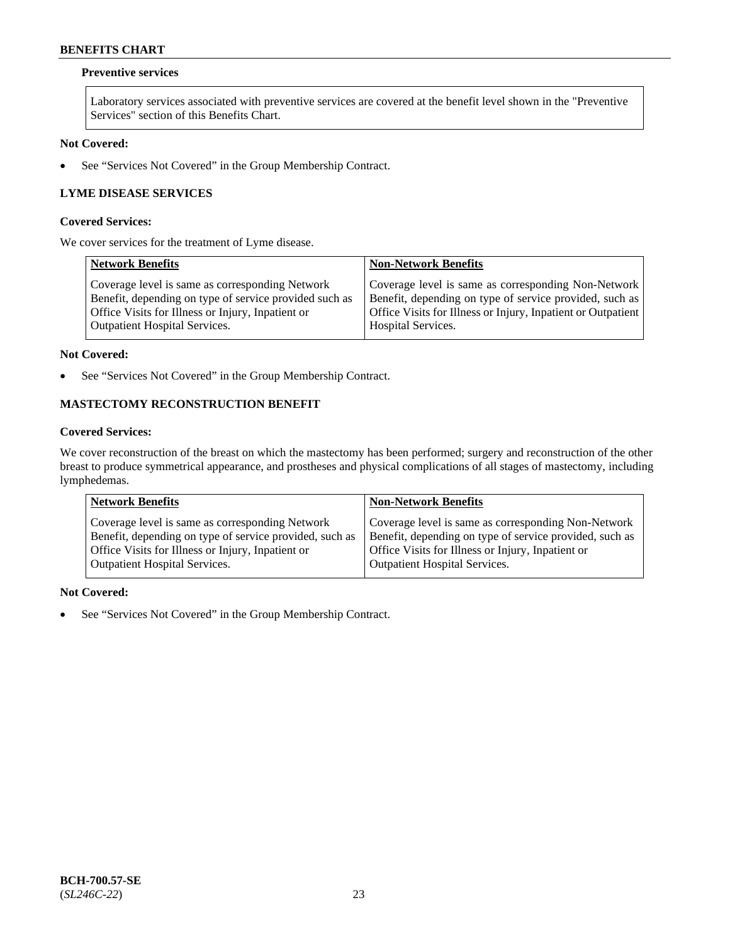# **Preventive services**

Laboratory services associated with preventive services are covered at the benefit level shown in the "Preventive Services" section of this Benefits Chart.

# **Not Covered:**

• See "Services Not Covered" in the Group Membership Contract.

# **LYME DISEASE SERVICES**

#### **Covered Services:**

We cover services for the treatment of Lyme disease.

| <b>Network Benefits</b>                                | <b>Non-Network Benefits</b>                                  |
|--------------------------------------------------------|--------------------------------------------------------------|
| Coverage level is same as corresponding Network        | Coverage level is same as corresponding Non-Network          |
| Benefit, depending on type of service provided such as | Benefit, depending on type of service provided, such as      |
| Office Visits for Illness or Injury, Inpatient or      | Office Visits for Illness or Injury, Inpatient or Outpatient |
| <b>Outpatient Hospital Services.</b>                   | Hospital Services.                                           |

#### **Not Covered:**

• See "Services Not Covered" in the Group Membership Contract.

# **MASTECTOMY RECONSTRUCTION BENEFIT**

# **Covered Services:**

We cover reconstruction of the breast on which the mastectomy has been performed; surgery and reconstruction of the other breast to produce symmetrical appearance, and prostheses and physical complications of all stages of mastectomy, including lymphedemas.

| <b>Network Benefits</b>                                 | <b>Non-Network Benefits</b>                             |
|---------------------------------------------------------|---------------------------------------------------------|
| Coverage level is same as corresponding Network         | Coverage level is same as corresponding Non-Network     |
| Benefit, depending on type of service provided, such as | Benefit, depending on type of service provided, such as |
| Office Visits for Illness or Injury, Inpatient or       | Office Visits for Illness or Injury, Inpatient or       |
| <b>Outpatient Hospital Services.</b>                    | Outpatient Hospital Services.                           |

#### **Not Covered:**

• See "Services Not Covered" in the Group Membership Contract.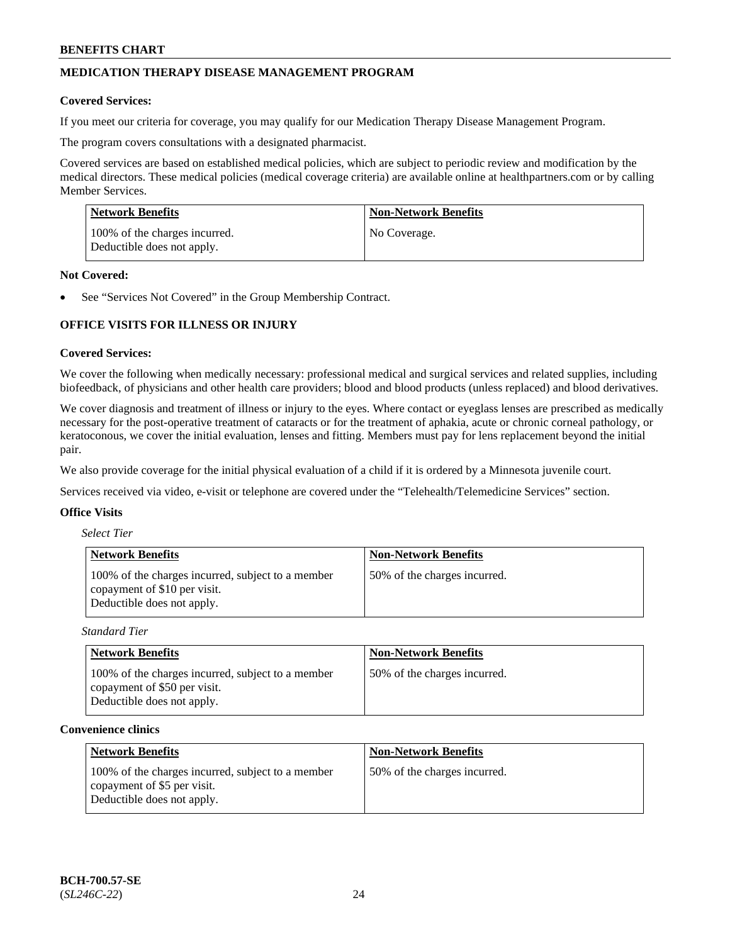# **MEDICATION THERAPY DISEASE MANAGEMENT PROGRAM**

#### **Covered Services:**

If you meet our criteria for coverage, you may qualify for our Medication Therapy Disease Management Program.

The program covers consultations with a designated pharmacist.

Covered services are based on established medical policies, which are subject to periodic review and modification by the medical directors. These medical policies (medical coverage criteria) are available online at [healthpartners.com](https://www.healthpartners.com/hp/index.html) or by calling Member Services.

| Network Benefits                                            | <b>Non-Network Benefits</b> |
|-------------------------------------------------------------|-----------------------------|
| 100% of the charges incurred.<br>Deductible does not apply. | No Coverage.                |

#### **Not Covered:**

See "Services Not Covered" in the Group Membership Contract.

# **OFFICE VISITS FOR ILLNESS OR INJURY**

#### **Covered Services:**

We cover the following when medically necessary: professional medical and surgical services and related supplies, including biofeedback, of physicians and other health care providers; blood and blood products (unless replaced) and blood derivatives.

We cover diagnosis and treatment of illness or injury to the eyes. Where contact or eyeglass lenses are prescribed as medically necessary for the post-operative treatment of cataracts or for the treatment of aphakia, acute or chronic corneal pathology, or keratoconous, we cover the initial evaluation, lenses and fitting. Members must pay for lens replacement beyond the initial pair.

We also provide coverage for the initial physical evaluation of a child if it is ordered by a Minnesota juvenile court.

Services received via video, e-visit or telephone are covered under the "Telehealth/Telemedicine Services" section.

### **Office Visits**

| <b>Select Tier</b> |  |
|--------------------|--|
|--------------------|--|

| <b>Network Benefits</b>                                                                                         | <b>Non-Network Benefits</b>  |
|-----------------------------------------------------------------------------------------------------------------|------------------------------|
| 100% of the charges incurred, subject to a member<br>copayment of \$10 per visit.<br>Deductible does not apply. | 50% of the charges incurred. |

*Standard Tier*

| <b>Network Benefits</b>                                                                                         | <b>Non-Network Benefits</b>  |
|-----------------------------------------------------------------------------------------------------------------|------------------------------|
| 100% of the charges incurred, subject to a member<br>copayment of \$50 per visit.<br>Deductible does not apply. | 50% of the charges incurred. |

#### **Convenience clinics**

| <b>Network Benefits</b>                                                                                        | <b>Non-Network Benefits</b>  |
|----------------------------------------------------------------------------------------------------------------|------------------------------|
| 100% of the charges incurred, subject to a member<br>copayment of \$5 per visit.<br>Deductible does not apply. | 50% of the charges incurred. |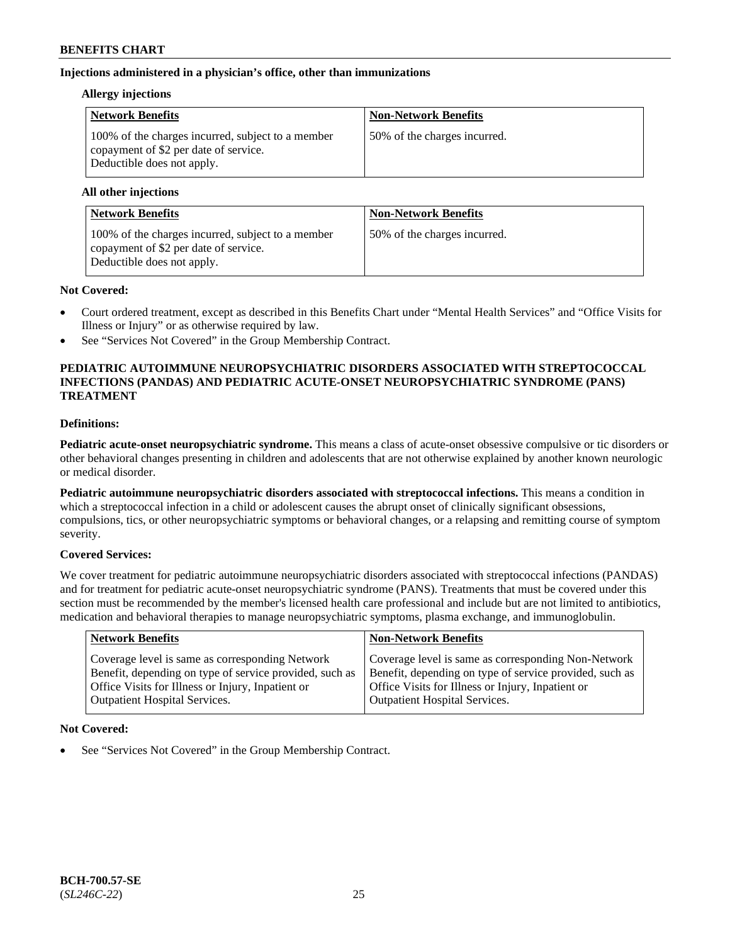# **Injections administered in a physician's office, other than immunizations**

### **Allergy injections**

| <b>Network Benefits</b>                                                                                                  | <b>Non-Network Benefits</b>  |
|--------------------------------------------------------------------------------------------------------------------------|------------------------------|
| 100% of the charges incurred, subject to a member<br>copayment of \$2 per date of service.<br>Deductible does not apply. | 50% of the charges incurred. |

#### **All other injections**

| <b>Network Benefits</b>                                                                                                  | <b>Non-Network Benefits</b>  |
|--------------------------------------------------------------------------------------------------------------------------|------------------------------|
| 100% of the charges incurred, subject to a member<br>copayment of \$2 per date of service.<br>Deductible does not apply. | 50% of the charges incurred. |

## **Not Covered:**

- Court ordered treatment, except as described in this Benefits Chart under "Mental Health Services" and "Office Visits for Illness or Injury" or as otherwise required by law.
- See "Services Not Covered" in the Group Membership Contract.

## **PEDIATRIC AUTOIMMUNE NEUROPSYCHIATRIC DISORDERS ASSOCIATED WITH STREPTOCOCCAL INFECTIONS (PANDAS) AND PEDIATRIC ACUTE-ONSET NEUROPSYCHIATRIC SYNDROME (PANS) TREATMENT**

# **Definitions:**

**Pediatric acute-onset neuropsychiatric syndrome.** This means a class of acute-onset obsessive compulsive or tic disorders or other behavioral changes presenting in children and adolescents that are not otherwise explained by another known neurologic or medical disorder.

**Pediatric autoimmune neuropsychiatric disorders associated with streptococcal infections.** This means a condition in which a streptococcal infection in a child or adolescent causes the abrupt onset of clinically significant obsessions, compulsions, tics, or other neuropsychiatric symptoms or behavioral changes, or a relapsing and remitting course of symptom severity.

## **Covered Services:**

We cover treatment for pediatric autoimmune neuropsychiatric disorders associated with streptococcal infections (PANDAS) and for treatment for pediatric acute-onset neuropsychiatric syndrome (PANS). Treatments that must be covered under this section must be recommended by the member's licensed health care professional and include but are not limited to antibiotics, medication and behavioral therapies to manage neuropsychiatric symptoms, plasma exchange, and immunoglobulin.

| <b>Network Benefits</b>                                                                                                                                                                                 | <b>Non-Network Benefits</b>                                                                                                                                                                                 |
|---------------------------------------------------------------------------------------------------------------------------------------------------------------------------------------------------------|-------------------------------------------------------------------------------------------------------------------------------------------------------------------------------------------------------------|
| Coverage level is same as corresponding Network<br>Benefit, depending on type of service provided, such as<br>Office Visits for Illness or Injury, Inpatient or<br><b>Outpatient Hospital Services.</b> | Coverage level is same as corresponding Non-Network<br>Benefit, depending on type of service provided, such as<br>Office Visits for Illness or Injury, Inpatient or<br><b>Outpatient Hospital Services.</b> |
|                                                                                                                                                                                                         |                                                                                                                                                                                                             |

## **Not Covered:**

See "Services Not Covered" in the Group Membership Contract.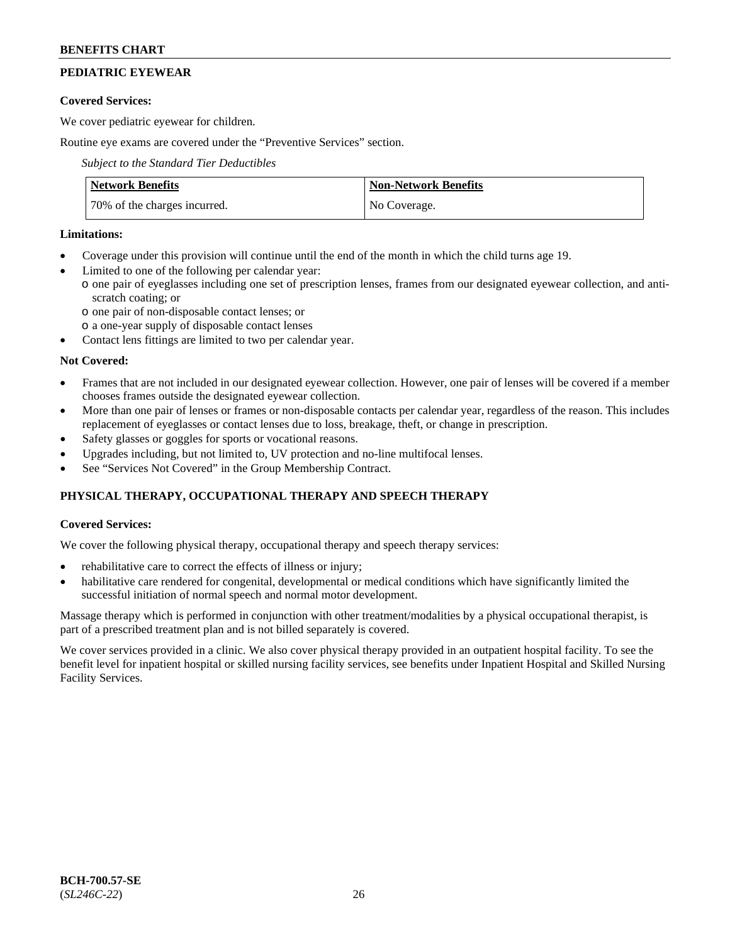# **PEDIATRIC EYEWEAR**

### **Covered Services:**

We cover pediatric eyewear for children.

Routine eye exams are covered under the "Preventive Services" section.

*Subject to the Standard Tier Deductibles*

| <b>Network Benefits</b>      | <b>Non-Network Benefits</b> |
|------------------------------|-----------------------------|
| 70% of the charges incurred. | No Coverage.                |

## **Limitations:**

- Coverage under this provision will continue until the end of the month in which the child turns age 19.
- Limited to one of the following per calendar year:
- o one pair of eyeglasses including one set of prescription lenses, frames from our designated eyewear collection, and antiscratch coating; or
	- o one pair of non-disposable contact lenses; or
	- o a one-year supply of disposable contact lenses
- Contact lens fittings are limited to two per calendar year.

## **Not Covered:**

- Frames that are not included in our designated eyewear collection. However, one pair of lenses will be covered if a member chooses frames outside the designated eyewear collection.
- More than one pair of lenses or frames or non-disposable contacts per calendar year, regardless of the reason. This includes replacement of eyeglasses or contact lenses due to loss, breakage, theft, or change in prescription.
- Safety glasses or goggles for sports or vocational reasons.
- Upgrades including, but not limited to, UV protection and no-line multifocal lenses.
- See "Services Not Covered" in the Group Membership Contract.

# **PHYSICAL THERAPY, OCCUPATIONAL THERAPY AND SPEECH THERAPY**

## **Covered Services:**

We cover the following physical therapy, occupational therapy and speech therapy services:

- rehabilitative care to correct the effects of illness or injury;
- habilitative care rendered for congenital, developmental or medical conditions which have significantly limited the successful initiation of normal speech and normal motor development.

Massage therapy which is performed in conjunction with other treatment/modalities by a physical occupational therapist, is part of a prescribed treatment plan and is not billed separately is covered.

We cover services provided in a clinic. We also cover physical therapy provided in an outpatient hospital facility. To see the benefit level for inpatient hospital or skilled nursing facility services, see benefits under Inpatient Hospital and Skilled Nursing Facility Services.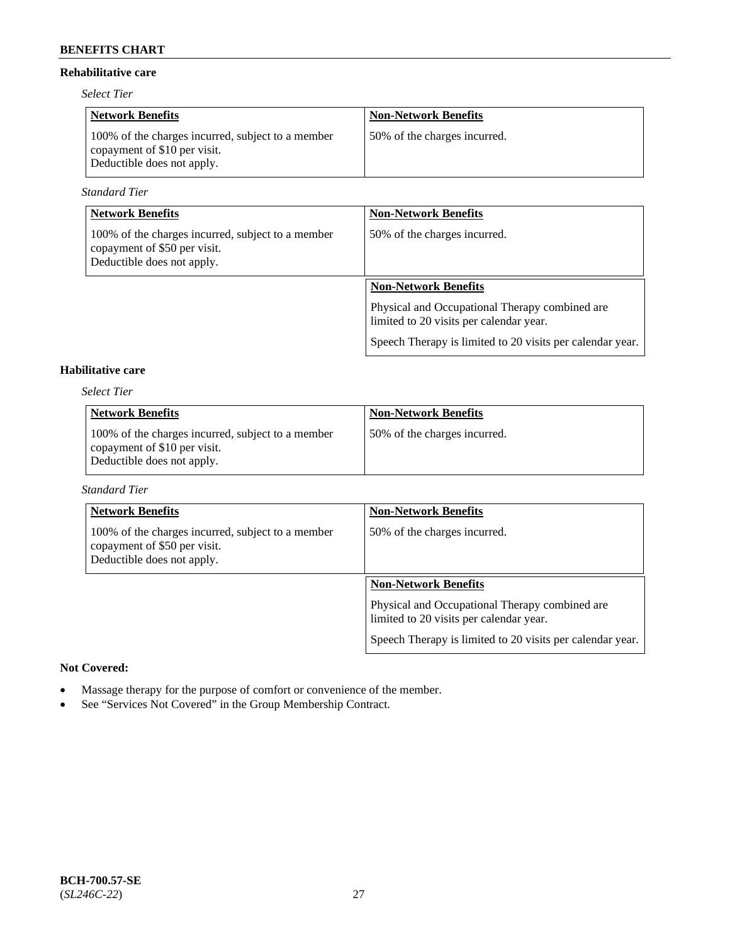### **Rehabilitative care**

*Select Tier*

| <b>Network Benefits</b>                                                                                         | <b>Non-Network Benefits</b>  |
|-----------------------------------------------------------------------------------------------------------------|------------------------------|
| 100% of the charges incurred, subject to a member<br>copayment of \$10 per visit.<br>Deductible does not apply. | 50% of the charges incurred. |

*Standard Tier*

| <b>Network Benefits</b>                                                                                         | <b>Non-Network Benefits</b>                                                               |
|-----------------------------------------------------------------------------------------------------------------|-------------------------------------------------------------------------------------------|
| 100% of the charges incurred, subject to a member<br>copayment of \$50 per visit.<br>Deductible does not apply. | 50% of the charges incurred.                                                              |
|                                                                                                                 | <b>Non-Network Benefits</b>                                                               |
|                                                                                                                 | Physical and Occupational Therapy combined are<br>limited to 20 visits per calendar year. |
|                                                                                                                 | Speech Therapy is limited to 20 visits per calendar year.                                 |

# **Habilitative care**

*Select Tier*

| <b>Network Benefits</b>                                                                                         | <b>Non-Network Benefits</b>  |
|-----------------------------------------------------------------------------------------------------------------|------------------------------|
| 100% of the charges incurred, subject to a member<br>copayment of \$10 per visit.<br>Deductible does not apply. | 50% of the charges incurred. |

### *Standard Tier*

| <b>Network Benefits</b>                                                                                         | <b>Non-Network Benefits</b>                                                               |
|-----------------------------------------------------------------------------------------------------------------|-------------------------------------------------------------------------------------------|
| 100% of the charges incurred, subject to a member<br>copayment of \$50 per visit.<br>Deductible does not apply. | 50% of the charges incurred.                                                              |
|                                                                                                                 | <b>Non-Network Benefits</b>                                                               |
|                                                                                                                 | Physical and Occupational Therapy combined are<br>limited to 20 visits per calendar year. |
|                                                                                                                 | Speech Therapy is limited to 20 visits per calendar year.                                 |

### **Not Covered:**

- Massage therapy for the purpose of comfort or convenience of the member.
- See "Services Not Covered" in the Group Membership Contract.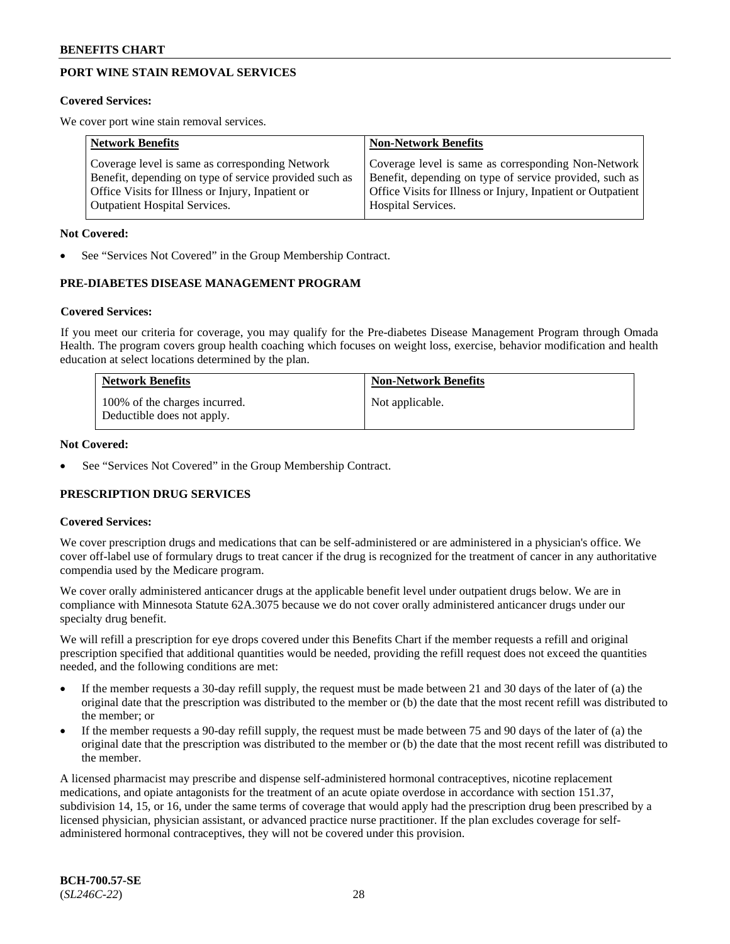# **PORT WINE STAIN REMOVAL SERVICES**

#### **Covered Services:**

We cover port wine stain removal services.

| <b>Network Benefits</b>                                | <b>Non-Network Benefits</b>                                  |
|--------------------------------------------------------|--------------------------------------------------------------|
| Coverage level is same as corresponding Network        | Coverage level is same as corresponding Non-Network          |
| Benefit, depending on type of service provided such as | Benefit, depending on type of service provided, such as      |
| Office Visits for Illness or Injury, Inpatient or      | Office Visits for Illness or Injury, Inpatient or Outpatient |
| <b>Outpatient Hospital Services.</b>                   | Hospital Services.                                           |

#### **Not Covered:**

See "Services Not Covered" in the Group Membership Contract.

## **PRE-DIABETES DISEASE MANAGEMENT PROGRAM**

#### **Covered Services:**

If you meet our criteria for coverage, you may qualify for the Pre-diabetes Disease Management Program through Omada Health. The program covers group health coaching which focuses on weight loss, exercise, behavior modification and health education at select locations determined by the plan.

| <b>Network Benefits</b>                                     | <b>Non-Network Benefits</b> |
|-------------------------------------------------------------|-----------------------------|
| 100% of the charges incurred.<br>Deductible does not apply. | Not applicable.             |

#### **Not Covered:**

See "Services Not Covered" in the Group Membership Contract.

## **PRESCRIPTION DRUG SERVICES**

#### **Covered Services:**

We cover prescription drugs and medications that can be self-administered or are administered in a physician's office. We cover off-label use of formulary drugs to treat cancer if the drug is recognized for the treatment of cancer in any authoritative compendia used by the Medicare program.

We cover orally administered anticancer drugs at the applicable benefit level under outpatient drugs below. We are in compliance with Minnesota Statute 62A.3075 because we do not cover orally administered anticancer drugs under our specialty drug benefit.

We will refill a prescription for eye drops covered under this Benefits Chart if the member requests a refill and original prescription specified that additional quantities would be needed, providing the refill request does not exceed the quantities needed, and the following conditions are met:

- If the member requests a 30-day refill supply, the request must be made between 21 and 30 days of the later of (a) the original date that the prescription was distributed to the member or (b) the date that the most recent refill was distributed to the member; or
- If the member requests a 90-day refill supply, the request must be made between 75 and 90 days of the later of (a) the original date that the prescription was distributed to the member or (b) the date that the most recent refill was distributed to the member.

A licensed pharmacist may prescribe and dispense self-administered hormonal contraceptives, nicotine replacement medications, and opiate antagonists for the treatment of an acute opiate overdose in accordance with section 151.37, subdivision 14, 15, or 16, under the same terms of coverage that would apply had the prescription drug been prescribed by a licensed physician, physician assistant, or advanced practice nurse practitioner. If the plan excludes coverage for selfadministered hormonal contraceptives, they will not be covered under this provision.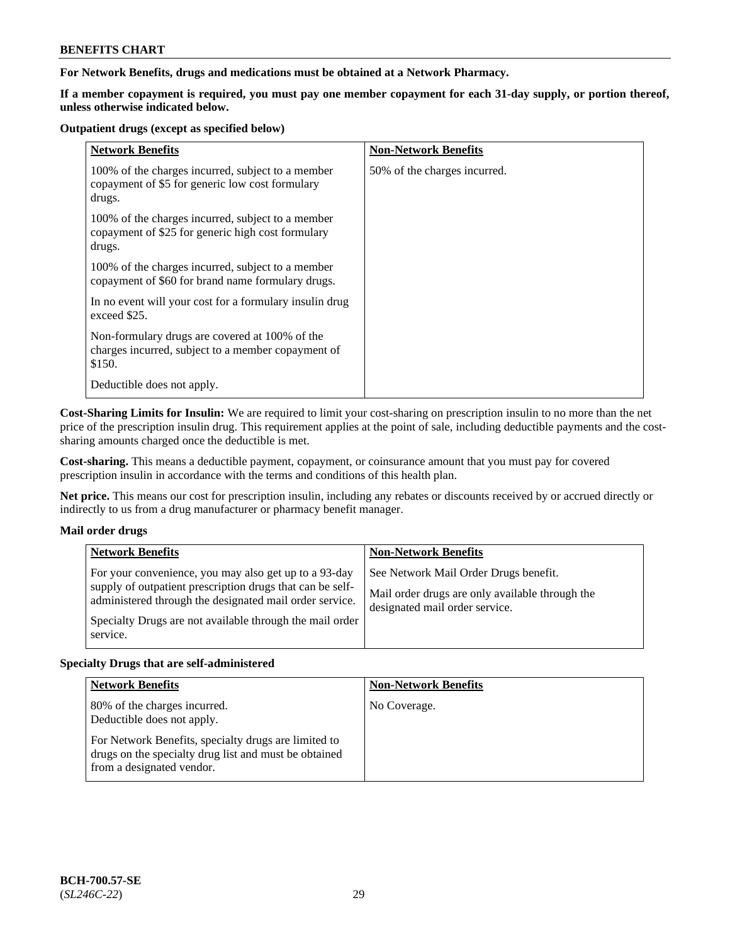**For Network Benefits, drugs and medications must be obtained at a Network Pharmacy.**

**If a member copayment is required, you must pay one member copayment for each 31-day supply, or portion thereof, unless otherwise indicated below.**

#### **Outpatient drugs (except as specified below)**

| <b>Network Benefits</b>                                                                                          | <b>Non-Network Benefits</b>  |
|------------------------------------------------------------------------------------------------------------------|------------------------------|
| 100% of the charges incurred, subject to a member<br>copayment of \$5 for generic low cost formulary<br>drugs.   | 50% of the charges incurred. |
| 100% of the charges incurred, subject to a member<br>copayment of \$25 for generic high cost formulary<br>drugs. |                              |
| 100% of the charges incurred, subject to a member<br>copayment of \$60 for brand name formulary drugs.           |                              |
| In no event will your cost for a formulary insulin drug<br>exceed \$25.                                          |                              |
| Non-formulary drugs are covered at 100% of the<br>charges incurred, subject to a member copayment of<br>\$150.   |                              |
| Deductible does not apply.                                                                                       |                              |

**Cost-Sharing Limits for Insulin:** We are required to limit your cost-sharing on prescription insulin to no more than the net price of the prescription insulin drug. This requirement applies at the point of sale, including deductible payments and the costsharing amounts charged once the deductible is met.

**Cost-sharing.** This means a deductible payment, copayment, or coinsurance amount that you must pay for covered prescription insulin in accordance with the terms and conditions of this health plan.

**Net price.** This means our cost for prescription insulin, including any rebates or discounts received by or accrued directly or indirectly to us from a drug manufacturer or pharmacy benefit manager.

## **Mail order drugs**

|          | <b>Network Benefits</b>                                                                                                                                                                                                                   | <b>Non-Network Benefits</b>                                                                                                |
|----------|-------------------------------------------------------------------------------------------------------------------------------------------------------------------------------------------------------------------------------------------|----------------------------------------------------------------------------------------------------------------------------|
| service. | For your convenience, you may also get up to a 93-day<br>supply of outpatient prescription drugs that can be self-<br>administered through the designated mail order service.<br>Specialty Drugs are not available through the mail order | See Network Mail Order Drugs benefit.<br>Mail order drugs are only available through the<br>designated mail order service. |

## **Specialty Drugs that are self-administered**

| <b>Network Benefits</b>                                                                                                                    | <b>Non-Network Benefits</b> |
|--------------------------------------------------------------------------------------------------------------------------------------------|-----------------------------|
| 80% of the charges incurred.<br>Deductible does not apply.                                                                                 | No Coverage.                |
| For Network Benefits, specialty drugs are limited to<br>drugs on the specialty drug list and must be obtained<br>from a designated vendor. |                             |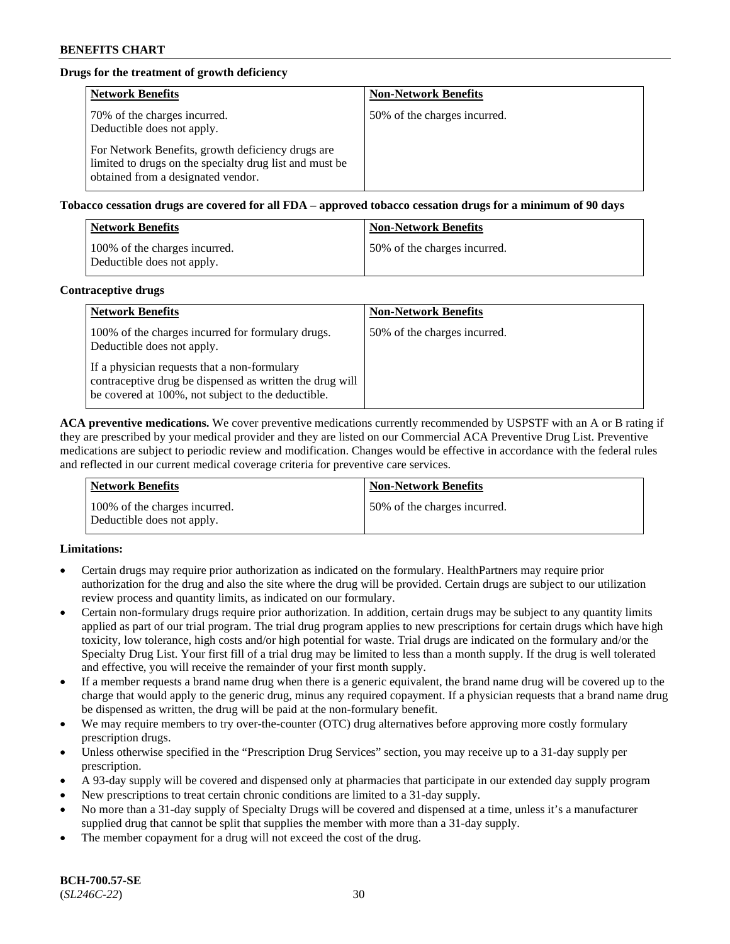# **Drugs for the treatment of growth deficiency**

| <b>Network Benefits</b>                                                                                                                            | <b>Non-Network Benefits</b>  |
|----------------------------------------------------------------------------------------------------------------------------------------------------|------------------------------|
| 70% of the charges incurred.<br>Deductible does not apply.                                                                                         | 50% of the charges incurred. |
| For Network Benefits, growth deficiency drugs are<br>limited to drugs on the specialty drug list and must be<br>obtained from a designated vendor. |                              |

**Tobacco cessation drugs are covered for all FDA – approved tobacco cessation drugs for a minimum of 90 days**

| <b>Network Benefits</b>                                     | <b>Non-Network Benefits</b>  |
|-------------------------------------------------------------|------------------------------|
| 100% of the charges incurred.<br>Deductible does not apply. | 50% of the charges incurred. |

#### **Contraceptive drugs**

| <b>Network Benefits</b>                                                                                                                                        | <b>Non-Network Benefits</b>  |
|----------------------------------------------------------------------------------------------------------------------------------------------------------------|------------------------------|
| 100% of the charges incurred for formulary drugs.<br>Deductible does not apply.                                                                                | 50% of the charges incurred. |
| If a physician requests that a non-formulary<br>contraceptive drug be dispensed as written the drug will<br>be covered at 100%, not subject to the deductible. |                              |

**ACA preventive medications.** We cover preventive medications currently recommended by USPSTF with an A or B rating if they are prescribed by your medical provider and they are listed on our Commercial ACA Preventive Drug List. Preventive medications are subject to periodic review and modification. Changes would be effective in accordance with the federal rules and reflected in our current medical coverage criteria for preventive care services.

| <b>Network Benefits</b>                                     | <b>Non-Network Benefits</b>  |
|-------------------------------------------------------------|------------------------------|
| 100% of the charges incurred.<br>Deductible does not apply. | 50% of the charges incurred. |

## **Limitations:**

- Certain drugs may require prior authorization as indicated on the formulary. HealthPartners may require prior authorization for the drug and also the site where the drug will be provided. Certain drugs are subject to our utilization review process and quantity limits, as indicated on our formulary.
- Certain non-formulary drugs require prior authorization. In addition, certain drugs may be subject to any quantity limits applied as part of our trial program. The trial drug program applies to new prescriptions for certain drugs which have high toxicity, low tolerance, high costs and/or high potential for waste. Trial drugs are indicated on the formulary and/or the Specialty Drug List. Your first fill of a trial drug may be limited to less than a month supply. If the drug is well tolerated and effective, you will receive the remainder of your first month supply.
- If a member requests a brand name drug when there is a generic equivalent, the brand name drug will be covered up to the charge that would apply to the generic drug, minus any required copayment. If a physician requests that a brand name drug be dispensed as written, the drug will be paid at the non-formulary benefit.
- We may require members to try over-the-counter (OTC) drug alternatives before approving more costly formulary prescription drugs.
- Unless otherwise specified in the "Prescription Drug Services" section, you may receive up to a 31-day supply per prescription.
- A 93-day supply will be covered and dispensed only at pharmacies that participate in our extended day supply program
- New prescriptions to treat certain chronic conditions are limited to a 31-day supply.
- No more than a 31-day supply of Specialty Drugs will be covered and dispensed at a time, unless it's a manufacturer supplied drug that cannot be split that supplies the member with more than a 31-day supply.
- The member copayment for a drug will not exceed the cost of the drug.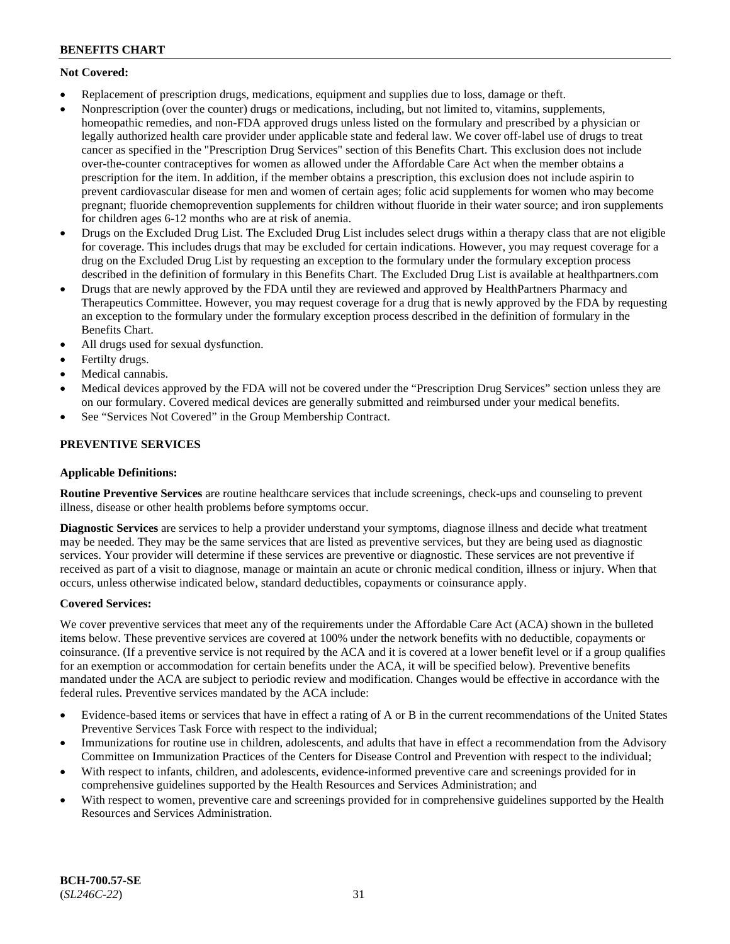# **Not Covered:**

- Replacement of prescription drugs, medications, equipment and supplies due to loss, damage or theft.
- Nonprescription (over the counter) drugs or medications, including, but not limited to, vitamins, supplements, homeopathic remedies, and non-FDA approved drugs unless listed on the formulary and prescribed by a physician or legally authorized health care provider under applicable state and federal law. We cover off-label use of drugs to treat cancer as specified in the "Prescription Drug Services" section of this Benefits Chart. This exclusion does not include over-the-counter contraceptives for women as allowed under the Affordable Care Act when the member obtains a prescription for the item. In addition, if the member obtains a prescription, this exclusion does not include aspirin to prevent cardiovascular disease for men and women of certain ages; folic acid supplements for women who may become pregnant; fluoride chemoprevention supplements for children without fluoride in their water source; and iron supplements for children ages 6-12 months who are at risk of anemia.
- Drugs on the Excluded Drug List. The Excluded Drug List includes select drugs within a therapy class that are not eligible for coverage. This includes drugs that may be excluded for certain indications. However, you may request coverage for a drug on the Excluded Drug List by requesting an exception to the formulary under the formulary exception process described in the definition of formulary in this Benefits Chart. The Excluded Drug List is available at [healthpartners.com](http://www.healthpartners.com/)
- Drugs that are newly approved by the FDA until they are reviewed and approved by HealthPartners Pharmacy and Therapeutics Committee. However, you may request coverage for a drug that is newly approved by the FDA by requesting an exception to the formulary under the formulary exception process described in the definition of formulary in the Benefits Chart.
- All drugs used for sexual dysfunction.
- Fertilty drugs.
- Medical cannabis.
- Medical devices approved by the FDA will not be covered under the "Prescription Drug Services" section unless they are on our formulary. Covered medical devices are generally submitted and reimbursed under your medical benefits.
- See "Services Not Covered" in the Group Membership Contract.

# **PREVENTIVE SERVICES**

## **Applicable Definitions:**

**Routine Preventive Services** are routine healthcare services that include screenings, check-ups and counseling to prevent illness, disease or other health problems before symptoms occur.

**Diagnostic Services** are services to help a provider understand your symptoms, diagnose illness and decide what treatment may be needed. They may be the same services that are listed as preventive services, but they are being used as diagnostic services. Your provider will determine if these services are preventive or diagnostic. These services are not preventive if received as part of a visit to diagnose, manage or maintain an acute or chronic medical condition, illness or injury. When that occurs, unless otherwise indicated below, standard deductibles, copayments or coinsurance apply.

## **Covered Services:**

We cover preventive services that meet any of the requirements under the Affordable Care Act (ACA) shown in the bulleted items below. These preventive services are covered at 100% under the network benefits with no deductible, copayments or coinsurance. (If a preventive service is not required by the ACA and it is covered at a lower benefit level or if a group qualifies for an exemption or accommodation for certain benefits under the ACA, it will be specified below). Preventive benefits mandated under the ACA are subject to periodic review and modification. Changes would be effective in accordance with the federal rules. Preventive services mandated by the ACA include:

- Evidence-based items or services that have in effect a rating of A or B in the current recommendations of the United States Preventive Services Task Force with respect to the individual;
- Immunizations for routine use in children, adolescents, and adults that have in effect a recommendation from the Advisory Committee on Immunization Practices of the Centers for Disease Control and Prevention with respect to the individual;
- With respect to infants, children, and adolescents, evidence-informed preventive care and screenings provided for in comprehensive guidelines supported by the Health Resources and Services Administration; and
- With respect to women, preventive care and screenings provided for in comprehensive guidelines supported by the Health Resources and Services Administration.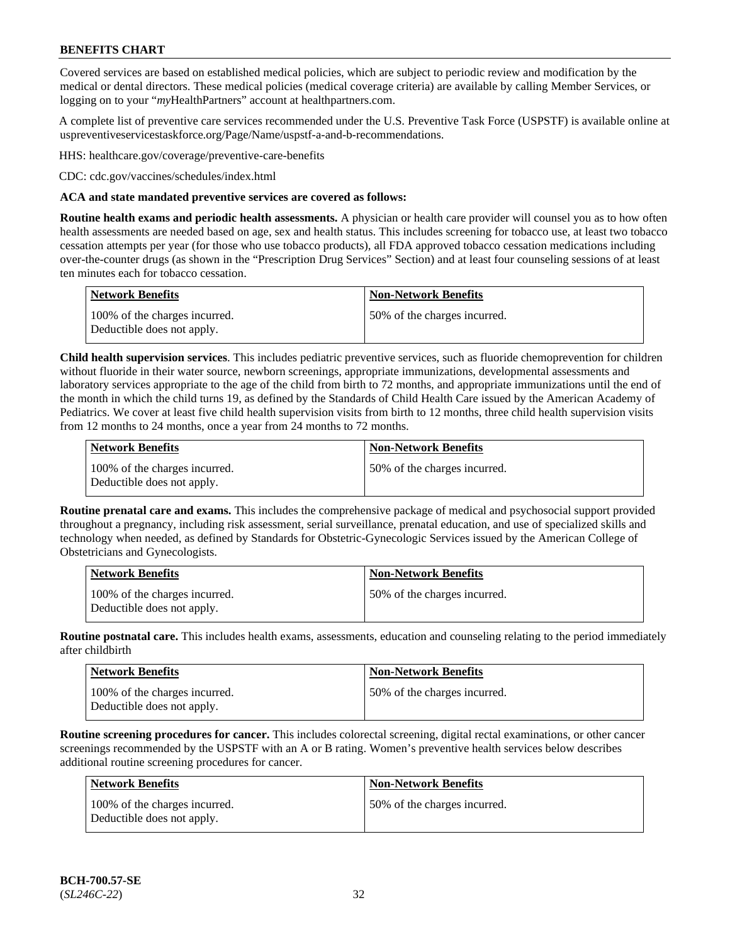Covered services are based on established medical policies, which are subject to periodic review and modification by the medical or dental directors. These medical policies (medical coverage criteria) are available by calling Member Services, or logging on to your "*my*HealthPartners" account at [healthpartners.com.](http://www.healthpartners.com/)

A complete list of preventive care services recommended under the U.S. Preventive Task Force (USPSTF) is available online at [uspreventiveservicestaskforce.org/Page/Name/uspstf-a-and-b-recommendations.](https://www.uspreventiveservicestaskforce.org/Page/Name/uspstf-a-and-b-recommendations-by-date/)

HHS: [healthcare.gov/coverage/preventive-care-benefits](https://www.healthcare.gov/coverage/preventive-care-benefits/)

CDC: [cdc.gov/vaccines/schedules/index.html](https://www.cdc.gov/vaccines/schedules/index.html)

### **ACA and state mandated preventive services are covered as follows:**

**Routine health exams and periodic health assessments.** A physician or health care provider will counsel you as to how often health assessments are needed based on age, sex and health status. This includes screening for tobacco use, at least two tobacco cessation attempts per year (for those who use tobacco products), all FDA approved tobacco cessation medications including over-the-counter drugs (as shown in the "Prescription Drug Services" Section) and at least four counseling sessions of at least ten minutes each for tobacco cessation.

| Network Benefits                                            | <b>Non-Network Benefits</b>  |
|-------------------------------------------------------------|------------------------------|
| 100% of the charges incurred.<br>Deductible does not apply. | 50% of the charges incurred. |

**Child health supervision services**. This includes pediatric preventive services, such as fluoride chemoprevention for children without fluoride in their water source, newborn screenings, appropriate immunizations, developmental assessments and laboratory services appropriate to the age of the child from birth to 72 months, and appropriate immunizations until the end of the month in which the child turns 19, as defined by the Standards of Child Health Care issued by the American Academy of Pediatrics. We cover at least five child health supervision visits from birth to 12 months, three child health supervision visits from 12 months to 24 months, once a year from 24 months to 72 months.

| Network Benefits                                            | <b>Non-Network Benefits</b>  |
|-------------------------------------------------------------|------------------------------|
| 100% of the charges incurred.<br>Deductible does not apply. | 50% of the charges incurred. |

**Routine prenatal care and exams.** This includes the comprehensive package of medical and psychosocial support provided throughout a pregnancy, including risk assessment, serial surveillance, prenatal education, and use of specialized skills and technology when needed, as defined by Standards for Obstetric-Gynecologic Services issued by the American College of Obstetricians and Gynecologists.

| <b>Network Benefits</b>                                     | <b>Non-Network Benefits</b>   |
|-------------------------------------------------------------|-------------------------------|
| 100% of the charges incurred.<br>Deductible does not apply. | 150% of the charges incurred. |

**Routine postnatal care.** This includes health exams, assessments, education and counseling relating to the period immediately after childbirth

| <b>Network Benefits</b>                                     | <b>Non-Network Benefits</b>  |
|-------------------------------------------------------------|------------------------------|
| 100% of the charges incurred.<br>Deductible does not apply. | 50% of the charges incurred. |

**Routine screening procedures for cancer.** This includes colorectal screening, digital rectal examinations, or other cancer screenings recommended by the USPSTF with an A or B rating. Women's preventive health services below describes additional routine screening procedures for cancer.

| <b>Network Benefits</b>                                     | <b>Non-Network Benefits</b>  |
|-------------------------------------------------------------|------------------------------|
| 100% of the charges incurred.<br>Deductible does not apply. | 50% of the charges incurred. |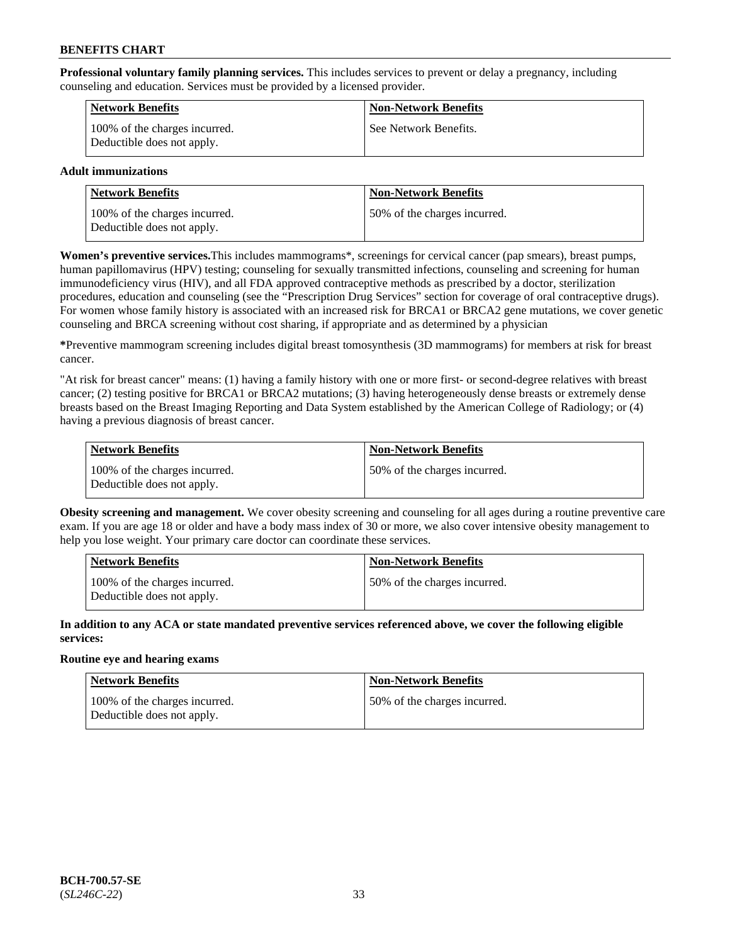**Professional voluntary family planning services.** This includes services to prevent or delay a pregnancy, including counseling and education. Services must be provided by a licensed provider.

| <b>Network Benefits</b>                                     | <b>Non-Network Benefits</b> |
|-------------------------------------------------------------|-----------------------------|
| 100% of the charges incurred.<br>Deductible does not apply. | See Network Benefits.       |

# **Adult immunizations**

| <b>Network Benefits</b>                                     | <b>Non-Network Benefits</b>   |
|-------------------------------------------------------------|-------------------------------|
| 100% of the charges incurred.<br>Deductible does not apply. | 150% of the charges incurred. |

**Women's preventive services.**This includes mammograms\*, screenings for cervical cancer (pap smears), breast pumps, human papillomavirus (HPV) testing; counseling for sexually transmitted infections, counseling and screening for human immunodeficiency virus (HIV), and all FDA approved contraceptive methods as prescribed by a doctor, sterilization procedures, education and counseling (see the "Prescription Drug Services" section for coverage of oral contraceptive drugs). For women whose family history is associated with an increased risk for BRCA1 or BRCA2 gene mutations, we cover genetic counseling and BRCA screening without cost sharing, if appropriate and as determined by a physician

**\***Preventive mammogram screening includes digital breast tomosynthesis (3D mammograms) for members at risk for breast cancer.

"At risk for breast cancer" means: (1) having a family history with one or more first- or second-degree relatives with breast cancer; (2) testing positive for BRCA1 or BRCA2 mutations; (3) having heterogeneously dense breasts or extremely dense breasts based on the Breast Imaging Reporting and Data System established by the American College of Radiology; or (4) having a previous diagnosis of breast cancer.

| Network Benefits                                            | <b>Non-Network Benefits</b>  |
|-------------------------------------------------------------|------------------------------|
| 100% of the charges incurred.<br>Deductible does not apply. | 50% of the charges incurred. |

**Obesity screening and management.** We cover obesity screening and counseling for all ages during a routine preventive care exam. If you are age 18 or older and have a body mass index of 30 or more, we also cover intensive obesity management to help you lose weight. Your primary care doctor can coordinate these services.

| Network Benefits                                            | <b>Non-Network Benefits</b>  |
|-------------------------------------------------------------|------------------------------|
| 100% of the charges incurred.<br>Deductible does not apply. | 50% of the charges incurred. |

**In addition to any ACA or state mandated preventive services referenced above, we cover the following eligible services:**

## **Routine eye and hearing exams**

| <b>Network Benefits</b>                                     | <b>Non-Network Benefits</b>  |
|-------------------------------------------------------------|------------------------------|
| 100% of the charges incurred.<br>Deductible does not apply. | 50% of the charges incurred. |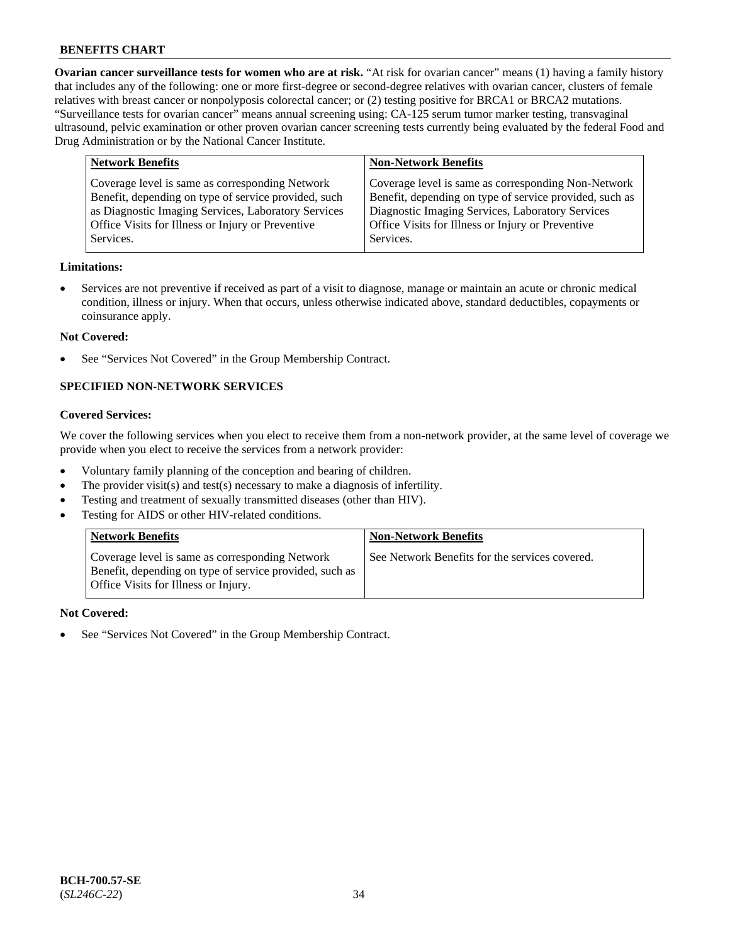**Ovarian cancer surveillance tests for women who are at risk.** "At risk for ovarian cancer" means (1) having a family history that includes any of the following: one or more first-degree or second-degree relatives with ovarian cancer, clusters of female relatives with breast cancer or nonpolyposis colorectal cancer; or (2) testing positive for BRCA1 or BRCA2 mutations. "Surveillance tests for ovarian cancer" means annual screening using: CA-125 serum tumor marker testing, transvaginal ultrasound, pelvic examination or other proven ovarian cancer screening tests currently being evaluated by the federal Food and Drug Administration or by the National Cancer Institute.

| <b>Network Benefits</b>                              | <b>Non-Network Benefits</b>                             |
|------------------------------------------------------|---------------------------------------------------------|
| Coverage level is same as corresponding Network      | Coverage level is same as corresponding Non-Network     |
| Benefit, depending on type of service provided, such | Benefit, depending on type of service provided, such as |
| as Diagnostic Imaging Services, Laboratory Services  | Diagnostic Imaging Services, Laboratory Services        |
| Office Visits for Illness or Injury or Preventive    | Office Visits for Illness or Injury or Preventive       |
| Services.                                            | Services.                                               |

#### **Limitations:**

• Services are not preventive if received as part of a visit to diagnose, manage or maintain an acute or chronic medical condition, illness or injury. When that occurs, unless otherwise indicated above, standard deductibles, copayments or coinsurance apply.

#### **Not Covered:**

See "Services Not Covered" in the Group Membership Contract.

# **SPECIFIED NON-NETWORK SERVICES**

# **Covered Services:**

We cover the following services when you elect to receive them from a non-network provider, at the same level of coverage we provide when you elect to receive the services from a network provider:

- Voluntary family planning of the conception and bearing of children.
- The provider visit(s) and test(s) necessary to make a diagnosis of infertility.
- Testing and treatment of sexually transmitted diseases (other than HIV).
- Testing for AIDS or other HIV-related conditions.

| <b>Network Benefits</b>                                                                                                                            | <b>Non-Network Benefits</b>                    |
|----------------------------------------------------------------------------------------------------------------------------------------------------|------------------------------------------------|
| Coverage level is same as corresponding Network<br>Benefit, depending on type of service provided, such as<br>Office Visits for Illness or Injury. | See Network Benefits for the services covered. |

#### **Not Covered:**

See "Services Not Covered" in the Group Membership Contract.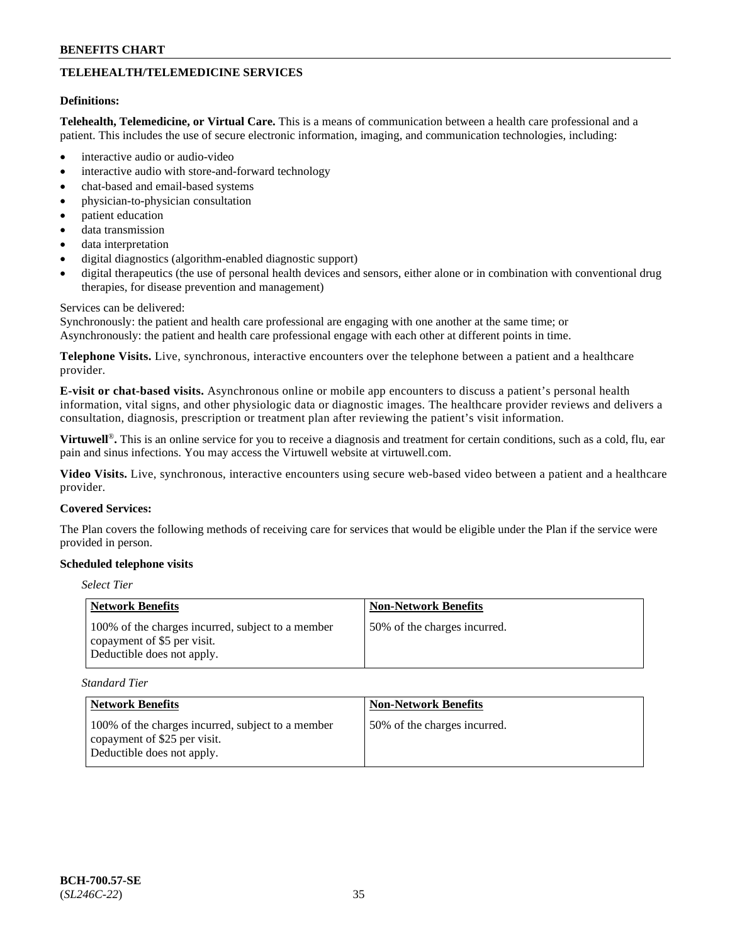# **TELEHEALTH/TELEMEDICINE SERVICES**

#### **Definitions:**

**Telehealth, Telemedicine, or Virtual Care.** This is a means of communication between a health care professional and a patient. This includes the use of secure electronic information, imaging, and communication technologies, including:

- interactive audio or audio-video
- interactive audio with store-and-forward technology
- chat-based and email-based systems
- physician-to-physician consultation
- patient education
- data transmission
- data interpretation
- digital diagnostics (algorithm-enabled diagnostic support)
- digital therapeutics (the use of personal health devices and sensors, either alone or in combination with conventional drug therapies, for disease prevention and management)

#### Services can be delivered:

Synchronously: the patient and health care professional are engaging with one another at the same time; or Asynchronously: the patient and health care professional engage with each other at different points in time.

**Telephone Visits.** Live, synchronous, interactive encounters over the telephone between a patient and a healthcare provider.

**E-visit or chat-based visits.** Asynchronous online or mobile app encounters to discuss a patient's personal health information, vital signs, and other physiologic data or diagnostic images. The healthcare provider reviews and delivers a consultation, diagnosis, prescription or treatment plan after reviewing the patient's visit information.

**Virtuwell<sup>®</sup>**. This is an online service for you to receive a diagnosis and treatment for certain conditions, such as a cold, flu, ear pain and sinus infections. You may access the Virtuwell website at [virtuwell.com.](https://www.virtuwell.com/)

**Video Visits.** Live, synchronous, interactive encounters using secure web-based video between a patient and a healthcare provider.

#### **Covered Services:**

The Plan covers the following methods of receiving care for services that would be eligible under the Plan if the service were provided in person.

#### **Scheduled telephone visits**

# *Select Tier*

| Network Benefits                                                                                               | <b>Non-Network Benefits</b>  |
|----------------------------------------------------------------------------------------------------------------|------------------------------|
| 100% of the charges incurred, subject to a member<br>copayment of \$5 per visit.<br>Deductible does not apply. | 50% of the charges incurred. |

*Standard Tier*

| Network Benefits                                                                                                | <b>Non-Network Benefits</b>  |
|-----------------------------------------------------------------------------------------------------------------|------------------------------|
| 100% of the charges incurred, subject to a member<br>copayment of \$25 per visit.<br>Deductible does not apply. | 50% of the charges incurred. |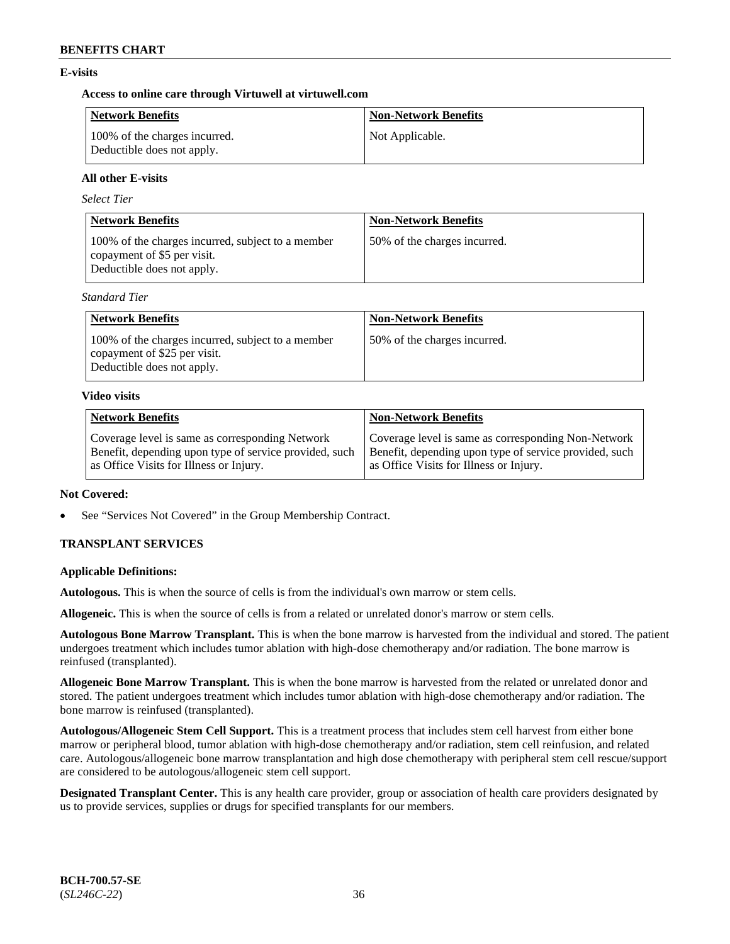# **E-visits**

## **Access to online care through Virtuwell at [virtuwell.com](https://www.virtuwell.com/)**

| <b>Network Benefits</b>                                     | <b>Non-Network Benefits</b> |
|-------------------------------------------------------------|-----------------------------|
| 100% of the charges incurred.<br>Deductible does not apply. | Not Applicable.             |

# **All other E-visits**

*Select Tier*

| <b>Network Benefits</b>                                                                                        | <b>Non-Network Benefits</b>  |
|----------------------------------------------------------------------------------------------------------------|------------------------------|
| 100% of the charges incurred, subject to a member<br>copayment of \$5 per visit.<br>Deductible does not apply. | 50% of the charges incurred. |

*Standard Tier*

| <b>Network Benefits</b>                                                                                         | <b>Non-Network Benefits</b>  |
|-----------------------------------------------------------------------------------------------------------------|------------------------------|
| 100% of the charges incurred, subject to a member<br>copayment of \$25 per visit.<br>Deductible does not apply. | 50% of the charges incurred. |

#### **Video visits**

| <b>Network Benefits</b>                                | <b>Non-Network Benefits</b>                            |
|--------------------------------------------------------|--------------------------------------------------------|
| Coverage level is same as corresponding Network        | Coverage level is same as corresponding Non-Network    |
| Benefit, depending upon type of service provided, such | Benefit, depending upon type of service provided, such |
| as Office Visits for Illness or Injury.                | as Office Visits for Illness or Injury.                |

## **Not Covered:**

See "Services Not Covered" in the Group Membership Contract.

# **TRANSPLANT SERVICES**

## **Applicable Definitions:**

**Autologous.** This is when the source of cells is from the individual's own marrow or stem cells.

**Allogeneic.** This is when the source of cells is from a related or unrelated donor's marrow or stem cells.

**Autologous Bone Marrow Transplant.** This is when the bone marrow is harvested from the individual and stored. The patient undergoes treatment which includes tumor ablation with high-dose chemotherapy and/or radiation. The bone marrow is reinfused (transplanted).

**Allogeneic Bone Marrow Transplant.** This is when the bone marrow is harvested from the related or unrelated donor and stored. The patient undergoes treatment which includes tumor ablation with high-dose chemotherapy and/or radiation. The bone marrow is reinfused (transplanted).

**Autologous/Allogeneic Stem Cell Support.** This is a treatment process that includes stem cell harvest from either bone marrow or peripheral blood, tumor ablation with high-dose chemotherapy and/or radiation, stem cell reinfusion, and related care. Autologous/allogeneic bone marrow transplantation and high dose chemotherapy with peripheral stem cell rescue/support are considered to be autologous/allogeneic stem cell support.

**Designated Transplant Center.** This is any health care provider, group or association of health care providers designated by us to provide services, supplies or drugs for specified transplants for our members.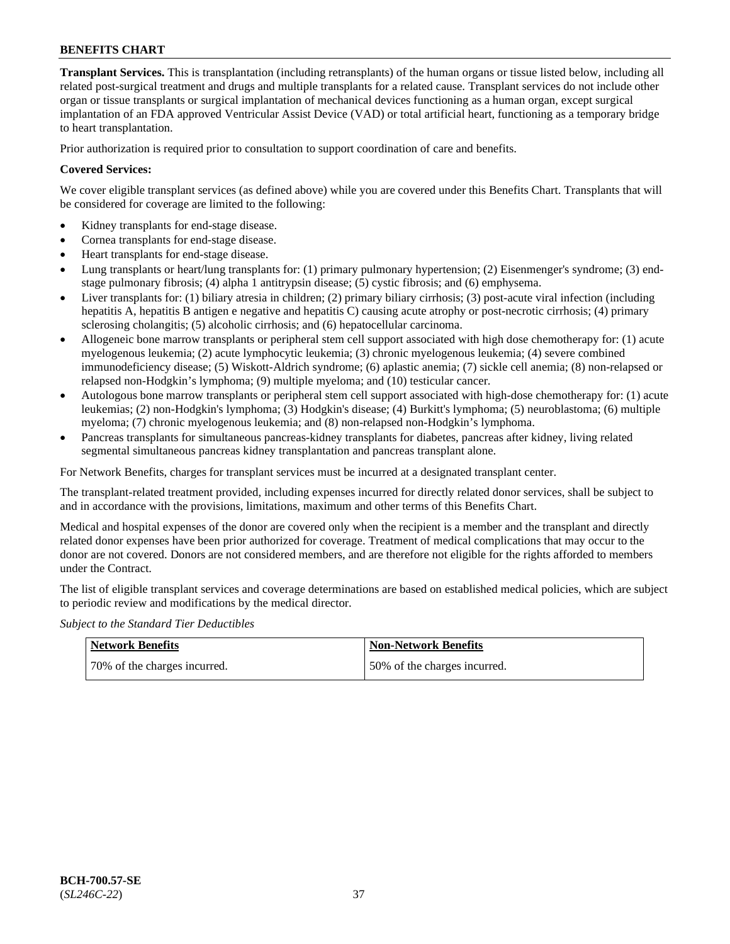**Transplant Services.** This is transplantation (including retransplants) of the human organs or tissue listed below, including all related post-surgical treatment and drugs and multiple transplants for a related cause. Transplant services do not include other organ or tissue transplants or surgical implantation of mechanical devices functioning as a human organ, except surgical implantation of an FDA approved Ventricular Assist Device (VAD) or total artificial heart, functioning as a temporary bridge to heart transplantation.

Prior authorization is required prior to consultation to support coordination of care and benefits.

### **Covered Services:**

We cover eligible transplant services (as defined above) while you are covered under this Benefits Chart. Transplants that will be considered for coverage are limited to the following:

- Kidney transplants for end-stage disease.
- Cornea transplants for end-stage disease.
- Heart transplants for end-stage disease.
- Lung transplants or heart/lung transplants for: (1) primary pulmonary hypertension; (2) Eisenmenger's syndrome; (3) endstage pulmonary fibrosis; (4) alpha 1 antitrypsin disease; (5) cystic fibrosis; and (6) emphysema.
- Liver transplants for: (1) biliary atresia in children; (2) primary biliary cirrhosis; (3) post-acute viral infection (including hepatitis A, hepatitis B antigen e negative and hepatitis C) causing acute atrophy or post-necrotic cirrhosis; (4) primary sclerosing cholangitis; (5) alcoholic cirrhosis; and (6) hepatocellular carcinoma.
- Allogeneic bone marrow transplants or peripheral stem cell support associated with high dose chemotherapy for: (1) acute myelogenous leukemia; (2) acute lymphocytic leukemia; (3) chronic myelogenous leukemia; (4) severe combined immunodeficiency disease; (5) Wiskott-Aldrich syndrome; (6) aplastic anemia; (7) sickle cell anemia; (8) non-relapsed or relapsed non-Hodgkin's lymphoma; (9) multiple myeloma; and (10) testicular cancer.
- Autologous bone marrow transplants or peripheral stem cell support associated with high-dose chemotherapy for: (1) acute leukemias; (2) non-Hodgkin's lymphoma; (3) Hodgkin's disease; (4) Burkitt's lymphoma; (5) neuroblastoma; (6) multiple myeloma; (7) chronic myelogenous leukemia; and (8) non-relapsed non-Hodgkin's lymphoma.
- Pancreas transplants for simultaneous pancreas-kidney transplants for diabetes, pancreas after kidney, living related segmental simultaneous pancreas kidney transplantation and pancreas transplant alone.

For Network Benefits, charges for transplant services must be incurred at a designated transplant center.

The transplant-related treatment provided, including expenses incurred for directly related donor services, shall be subject to and in accordance with the provisions, limitations, maximum and other terms of this Benefits Chart.

Medical and hospital expenses of the donor are covered only when the recipient is a member and the transplant and directly related donor expenses have been prior authorized for coverage. Treatment of medical complications that may occur to the donor are not covered. Donors are not considered members, and are therefore not eligible for the rights afforded to members under the Contract.

The list of eligible transplant services and coverage determinations are based on established medical policies, which are subject to periodic review and modifications by the medical director.

*Subject to the Standard Tier Deductibles*

| <b>Network Benefits</b>      | <b>Non-Network Benefits</b>  |
|------------------------------|------------------------------|
| 70% of the charges incurred. | 50% of the charges incurred. |